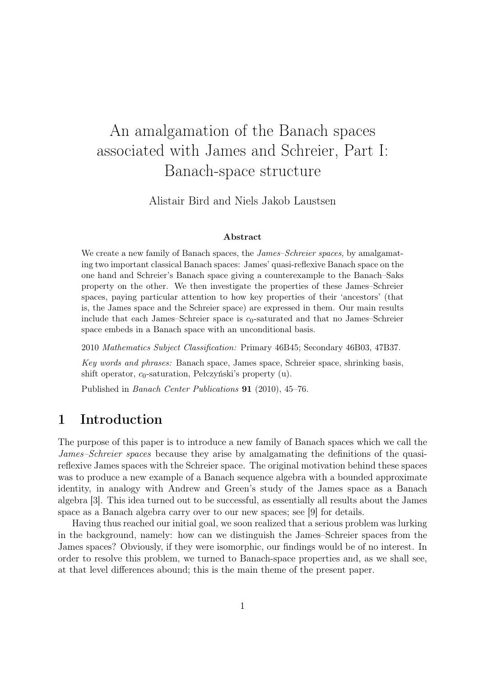# An amalgamation of the Banach spaces associated with James and Schreier, Part I: Banach-space structure

Alistair Bird and Niels Jakob Laustsen

#### Abstract

We create a new family of Banach spaces, the *James–Schreier spaces*, by amalgamating two important classical Banach spaces: James' quasi-reflexive Banach space on the one hand and Schreier's Banach space giving a counterexample to the Banach–Saks property on the other. We then investigate the properties of these James–Schreier spaces, paying particular attention to how key properties of their 'ancestors' (that is, the James space and the Schreier space) are expressed in them. Our main results include that each James–Schreier space is  $c_0$ -saturated and that no James–Schreier space embeds in a Banach space with an unconditional basis.

2010 Mathematics Subject Classification: Primary 46B45; Secondary 46B03, 47B37.

Key words and phrases: Banach space, James space, Schreier space, shrinking basis, shift operator,  $c_0$ -saturation, Pełczyński's property (u).

Published in Banach Center Publications 91 (2010), 45–76.

### 1 Introduction

The purpose of this paper is to introduce a new family of Banach spaces which we call the James–Schreier spaces because they arise by amalgamating the definitions of the quasireflexive James spaces with the Schreier space. The original motivation behind these spaces was to produce a new example of a Banach sequence algebra with a bounded approximate identity, in analogy with Andrew and Green's study of the James space as a Banach algebra [3]. This idea turned out to be successful, as essentially all results about the James space as a Banach algebra carry over to our new spaces; see [9] for details.

Having thus reached our initial goal, we soon realized that a serious problem was lurking in the background, namely: how can we distinguish the James–Schreier spaces from the James spaces? Obviously, if they were isomorphic, our findings would be of no interest. In order to resolve this problem, we turned to Banach-space properties and, as we shall see, at that level differences abound; this is the main theme of the present paper.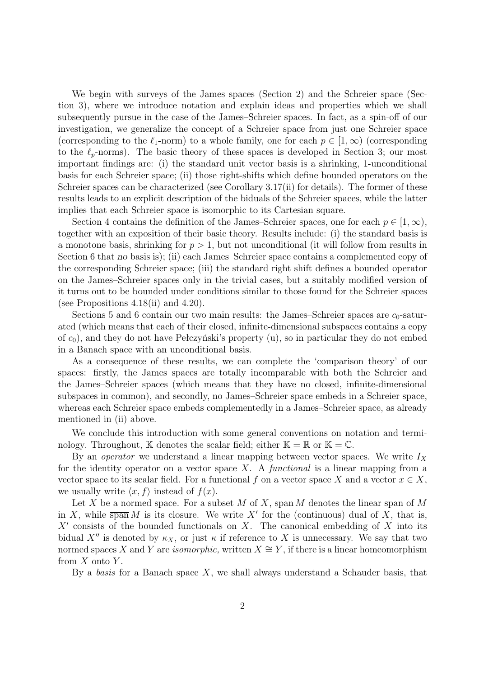We begin with surveys of the James spaces (Section 2) and the Schreier space (Section 3), where we introduce notation and explain ideas and properties which we shall subsequently pursue in the case of the James–Schreier spaces. In fact, as a spin-off of our investigation, we generalize the concept of a Schreier space from just one Schreier space (corresponding to the  $\ell_1$ -norm) to a whole family, one for each  $p \in [1,\infty)$  (corresponding to the  $\ell_p$ -norms). The basic theory of these spaces is developed in Section 3; our most important findings are: (i) the standard unit vector basis is a shrinking, 1-unconditional basis for each Schreier space; (ii) those right-shifts which define bounded operators on the Schreier spaces can be characterized (see Corollary 3.17(ii) for details). The former of these results leads to an explicit description of the biduals of the Schreier spaces, while the latter implies that each Schreier space is isomorphic to its Cartesian square.

Section 4 contains the definition of the James–Schreier spaces, one for each  $p \in [1,\infty)$ , together with an exposition of their basic theory. Results include: (i) the standard basis is a monotone basis, shrinking for  $p > 1$ , but not unconditional (it will follow from results in Section 6 that no basis is); (ii) each James–Schreier space contains a complemented copy of the corresponding Schreier space; (iii) the standard right shift defines a bounded operator on the James–Schreier spaces only in the trivial cases, but a suitably modified version of it turns out to be bounded under conditions similar to those found for the Schreier spaces (see Propositions 4.18(ii) and 4.20).

Sections 5 and 6 contain our two main results: the James–Schreier spaces are  $c_0$ -saturated (which means that each of their closed, infinite-dimensional subspaces contains a copy of c0), and they do not have Pełczyński's property (u), so in particular they do not embed in a Banach space with an unconditional basis.

As a consequence of these results, we can complete the 'comparison theory' of our spaces: firstly, the James spaces are totally incomparable with both the Schreier and the James–Schreier spaces (which means that they have no closed, infinite-dimensional subspaces in common), and secondly, no James–Schreier space embeds in a Schreier space, whereas each Schreier space embeds complementedly in a James–Schreier space, as already mentioned in (ii) above.

We conclude this introduction with some general conventions on notation and terminology. Throughout, K denotes the scalar field; either  $K = \mathbb{R}$  or  $K = \mathbb{C}$ .

By an *operator* we understand a linear mapping between vector spaces. We write  $I_X$ for the identity operator on a vector space  $X$ . A *functional* is a linear mapping from a vector space to its scalar field. For a functional f on a vector space X and a vector  $x \in X$ , we usually write  $\langle x, f \rangle$  instead of  $f(x)$ .

Let X be a normed space. For a subset M of X, span M denotes the linear span of M in X, while  $\overline{\text{span}} M$  is its closure. We write X' for the (continuous) dual of X, that is,  $X'$  consists of the bounded functionals on X. The canonical embedding of X into its bidual X<sup>n</sup> is denoted by  $\kappa_X$ , or just  $\kappa$  if reference to X is unnecessary. We say that two normed spaces X and Y are *isomorphic*, written  $X \cong Y$ , if there is a linear homeomorphism from  $X$  onto  $Y$ .

By a basis for a Banach space  $X$ , we shall always understand a Schauder basis, that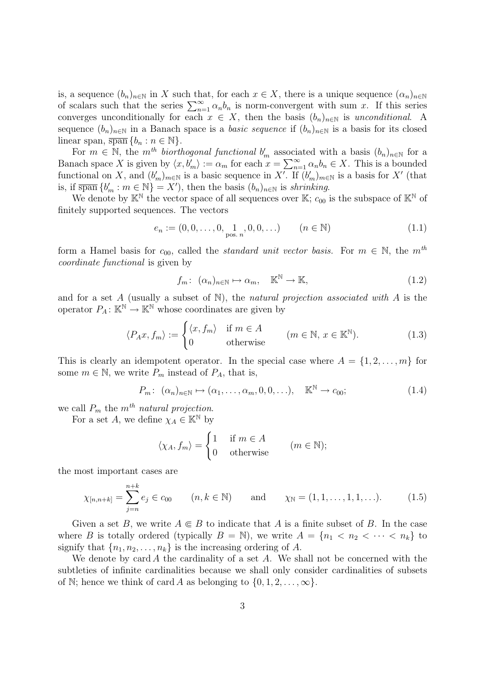is, a sequence  $(b_n)_{n\in\mathbb{N}}$  in X such that, for each  $x \in X$ , there is a unique sequence  $(\alpha_n)_{n\in\mathbb{N}}$ of scalars such that the series  $\sum_{n=1}^{\infty} \alpha_n b_n$  is norm-convergent with sum x. If this series converges unconditionally for each  $x \in X$ , then the basis  $(b_n)_{n \in \mathbb{N}}$  is unconditional. A sequence  $(b_n)_{n\in\mathbb{N}}$  in a Banach space is a *basic sequence* if  $(b_n)_{n\in\mathbb{N}}$  is a basis for its closed linear span,  $\overline{\text{span}} \{b_n : n \in \mathbb{N}\}.$ 

For  $m \in \mathbb{N}$ , the m<sup>th</sup> biorthogonal functional  $b'_m$  associated with a basis  $(b_n)_{n\in\mathbb{N}}$  for a Banach space X is given by  $\langle x, b'_m \rangle := \alpha_m$  for each  $x = \sum_{n=1}^{\infty} \alpha_n b_n \in X$ . This is a bounded functional on X, and  $(b'_m)_{m\in\mathbb{N}}$  is a basic sequence in X'. If  $(b'_m)_{m\in\mathbb{N}}$  is a basis for X' (that is, if  $\overline{\text{span}}\{b'_m : m \in \mathbb{N}\}=X'$ , then the basis  $(b_n)_{n \in \mathbb{N}}$  is shrinking.

We denote by  $\mathbb{K}^{\mathbb{N}}$  the vector space of all sequences over  $\mathbb{K}; c_{00}$  is the subspace of  $\mathbb{K}^{\mathbb{N}}$  of finitely supported sequences. The vectors

$$
e_n := (0, 0, \dots, 0, \lim_{\text{pos. } n} 0, 0, \dots) \qquad (n \in \mathbb{N})
$$
 (1.1)

form a Hamel basis for  $c_{00}$ , called the *standard unit vector basis*. For  $m \in \mathbb{N}$ , the  $m<sup>th</sup>$ coordinate functional is given by

$$
f_m: \ (\alpha_n)_{n \in \mathbb{N}} \mapsto \alpha_m, \quad \mathbb{K}^{\mathbb{N}} \to \mathbb{K}, \tag{1.2}
$$

and for a set A (usually a subset of  $\mathbb N$ ), the *natural projection associated with* A is the operator  $P_A: \mathbb{K}^{\mathbb{N}} \to \mathbb{K}^{\mathbb{N}}$  whose coordinates are given by

$$
\langle P_A x, f_m \rangle := \begin{cases} \langle x, f_m \rangle & \text{if } m \in A \\ 0 & \text{otherwise} \end{cases} \quad (m \in \mathbb{N}, x \in \mathbb{K}^{\mathbb{N}}). \tag{1.3}
$$

This is clearly an idempotent operator. In the special case where  $A = \{1, 2, \ldots, m\}$  for some  $m \in \mathbb{N}$ , we write  $P_m$  instead of  $P_A$ , that is,

$$
P_m: (\alpha_n)_{n \in \mathbb{N}} \mapsto (\alpha_1, \dots, \alpha_m, 0, 0, \dots), \quad \mathbb{K}^{\mathbb{N}} \to c_{00};
$$
\n(1.4)

we call  $P_m$  the  $m^{th}$  natural projection.

For a set A, we define  $\chi_A \in \mathbb{K}^{\mathbb{N}}$  by

$$
\langle \chi_A, f_m \rangle = \begin{cases} 1 & \text{if } m \in A \\ 0 & \text{otherwise} \end{cases} \quad (m \in \mathbb{N});
$$

the most important cases are

$$
\chi_{[n,n+k]} = \sum_{j=n}^{n+k} e_j \in c_{00} \qquad (n,k \in \mathbb{N}) \qquad \text{and} \qquad \chi_{\mathbb{N}} = (1,1,\ldots,1,1,\ldots). \tag{1.5}
$$

Given a set B, we write  $A \in B$  to indicate that A is a finite subset of B. In the case where B is totally ordered (typically  $B = \mathbb{N}$ ), we write  $A = \{n_1 < n_2 < \cdots < n_k\}$  to signify that  $\{n_1, n_2, \ldots, n_k\}$  is the increasing ordering of A.

We denote by card A the cardinality of a set A. We shall not be concerned with the subtleties of infinite cardinalities because we shall only consider cardinalities of subsets of N; hence we think of card A as belonging to  $\{0, 1, 2, \ldots, \infty\}$ .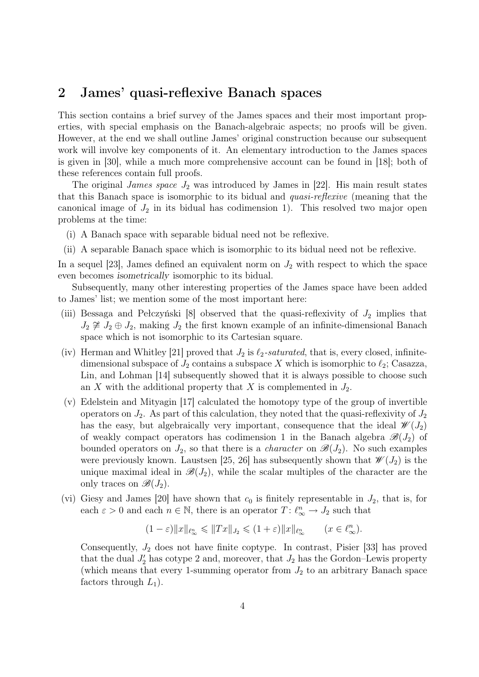#### 2 James' quasi-reflexive Banach spaces

This section contains a brief survey of the James spaces and their most important properties, with special emphasis on the Banach-algebraic aspects; no proofs will be given. However, at the end we shall outline James' original construction because our subsequent work will involve key components of it. An elementary introduction to the James spaces is given in [30], while a much more comprehensive account can be found in [18]; both of these references contain full proofs.

The original *James space*  $J_2$  was introduced by James in [22]. His main result states that this Banach space is isomorphic to its bidual and quasi-reflexive (meaning that the canonical image of  $J_2$  in its bidual has codimension 1). This resolved two major open problems at the time:

- (i) A Banach space with separable bidual need not be reflexive.
- (ii) A separable Banach space which is isomorphic to its bidual need not be reflexive.

In a sequel [23], James defined an equivalent norm on  $J_2$  with respect to which the space even becomes isometrically isomorphic to its bidual.

Subsequently, many other interesting properties of the James space have been added to James' list; we mention some of the most important here:

- (iii) Bessaga and Pełczyński  $[8]$  observed that the quasi-reflexivity of  $J_2$  implies that  $J_2 \not\cong J_2 \oplus J_2$ , making  $J_2$  the first known example of an infinite-dimensional Banach space which is not isomorphic to its Cartesian square.
- (iv) Herman and Whitley [21] proved that  $J_2$  is  $\ell_2$ -saturated, that is, every closed, infinitedimensional subspace of  $J_2$  contains a subspace X which is isomorphic to  $\ell_2$ ; Casazza, Lin, and Lohman [14] subsequently showed that it is always possible to choose such an X with the additional property that X is complemented in  $J_2$ .
- (v) Edelstein and Mityagin [17] calculated the homotopy type of the group of invertible operators on  $J_2$ . As part of this calculation, they noted that the quasi-reflexivity of  $J_2$ has the easy, but algebraically very important, consequence that the ideal  $\mathscr{W}(J_2)$ of weakly compact operators has codimension 1 in the Banach algebra  $\mathscr{B}(J_2)$  of bounded operators on  $J_2$ , so that there is a *character* on  $\mathscr{B}(J_2)$ . No such examples were previously known. Laustsen [25, 26] has subsequently shown that  $\mathscr{W}(J_2)$  is the unique maximal ideal in  $\mathscr{B}(J_2)$ , while the scalar multiples of the character are the only traces on  $\mathscr{B}(J_2)$ .
- (vi) Giesy and James [20] have shown that  $c_0$  is finitely representable in  $J_2$ , that is, for each  $\varepsilon > 0$  and each  $n \in \mathbb{N}$ , there is an operator  $T: \ell_{\infty}^n \to J_2$  such that

$$
(1-\varepsilon)\|x\|_{\ell_\infty^n} \leqslant \|Tx\|_{J_2} \leqslant (1+\varepsilon)\|x\|_{\ell_\infty^n} \qquad (x \in \ell_\infty^n).
$$

Consequently,  $J_2$  does not have finite coptype. In contrast, Pisier [33] has proved that the dual  $J_2'$  has cotype 2 and, moreover, that  $J_2$  has the Gordon–Lewis property (which means that every 1-summing operator from  $J_2$  to an arbitrary Banach space factors through  $L_1$ ).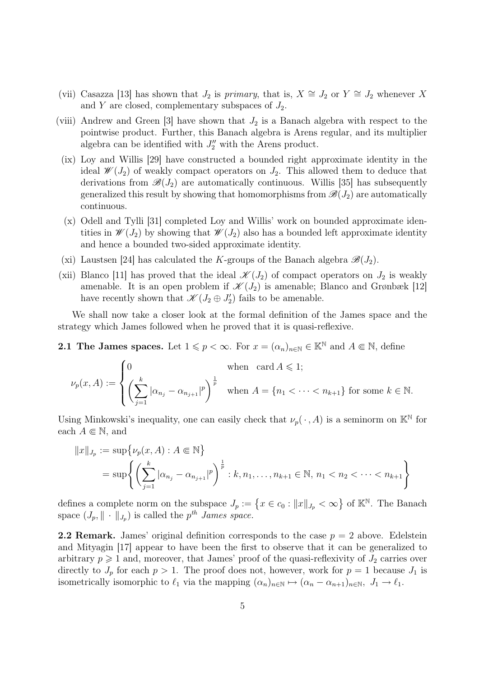- (vii) Casazza [13] has shown that  $J_2$  is primary, that is,  $X \cong J_2$  or  $Y \cong J_2$  whenever X and Y are closed, complementary subspaces of  $J_2$ .
- (viii) Andrew and Green [3] have shown that  $J_2$  is a Banach algebra with respect to the pointwise product. Further, this Banach algebra is Arens regular, and its multiplier algebra can be identified with  $J_2''$  with the Arens product.
	- (ix) Loy and Willis [29] have constructed a bounded right approximate identity in the ideal  $\mathscr{W}(J_2)$  of weakly compact operators on  $J_2$ . This allowed them to deduce that derivations from  $\mathscr{B}(J_2)$  are automatically continuous. Willis [35] has subsequently generalized this result by showing that homomorphisms from  $\mathscr{B}(J_2)$  are automatically continuous.
	- (x) Odell and Tylli [31] completed Loy and Willis' work on bounded approximate identities in  $\mathscr{W}(J_2)$  by showing that  $\mathscr{W}(J_2)$  also has a bounded left approximate identity and hence a bounded two-sided approximate identity.
	- (xi) Laustsen [24] has calculated the K-groups of the Banach algebra  $\mathscr{B}(J_2)$ .
- (xii) Blanco [11] has proved that the ideal  $\mathscr{K}(J_2)$  of compact operators on  $J_2$  is weakly amenable. It is an open problem if  $\mathscr{K}(J_2)$  is amenable; Blanco and Grønbæk [12] have recently shown that  $\mathscr{K}(J_2 \oplus J'_2)$  fails to be amenable.

We shall now take a closer look at the formal definition of the James space and the strategy which James followed when he proved that it is quasi-reflexive.

2.1 The James spaces. Let  $1 \leq p < \infty$ . For  $x = (\alpha_n)_{n \in \mathbb{N}} \in \mathbb{K}^{\mathbb{N}}$  and  $A \in \mathbb{N}$ , define

$$
\nu_p(x, A) := \begin{cases} 0 & \text{when } \operatorname{card} A \leqslant 1; \\ \left(\sum_{j=1}^k |\alpha_{n_j} - \alpha_{n_{j+1}}|^p\right)^{\frac{1}{p}} & \text{when } A = \{n_1 < \cdots < n_{k+1}\} \text{ for some } k \in \mathbb{N}. \end{cases}
$$

Using Minkowski's inequality, one can easily check that  $\nu_p(\cdot, A)$  is a seminorm on  $\mathbb{K}^{\mathbb{N}}$  for each  $A \in \mathbb{N}$ , and

$$
||x||_{J_p} := \sup \{ \nu_p(x, A) : A \in \mathbb{N} \}
$$
  
=  $\sup \{ \left( \sum_{j=1}^k |\alpha_{n_j} - \alpha_{n_{j+1}}|^p \right)^{\frac{1}{p}} : k, n_1, \dots, n_{k+1} \in \mathbb{N}, n_1 < n_2 < \dots < n_{k+1} \}$ 

defines a complete norm on the subspace  $J_p := \{x \in c_0 : ||x||_{J_p} < \infty\}$  of  $\mathbb{K}^{\mathbb{N}}$ . The Banach space  $(J_p, \|\cdot\|_{J_p})$  is called the  $p^{th}$  James space.

**2.2 Remark.** James' original definition corresponds to the case  $p = 2$  above. Edelstein and Mityagin [17] appear to have been the first to observe that it can be generalized to arbitrary  $p \geq 1$  and, moreover, that James' proof of the quasi-reflexivity of  $J_2$  carries over directly to  $J_p$  for each  $p > 1$ . The proof does not, however, work for  $p = 1$  because  $J_1$  is isometrically isomorphic to  $\ell_1$  via the mapping  $(\alpha_n)_{n\in\mathbb{N}} \mapsto (\alpha_n - \alpha_{n+1})_{n\in\mathbb{N}}, J_1 \mapsto \ell_1$ .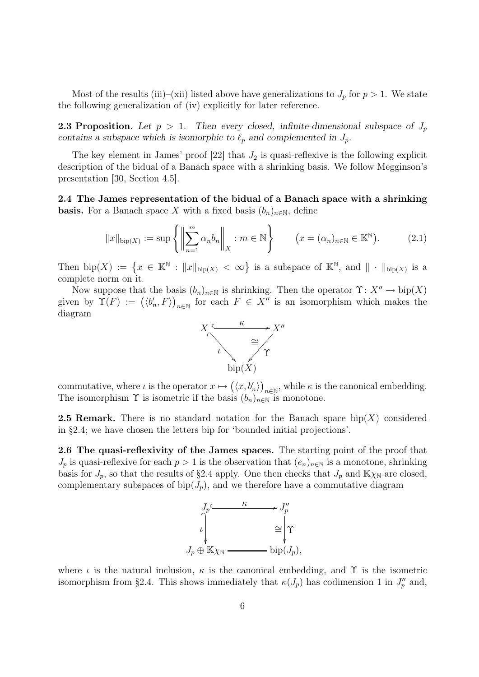Most of the results (iii)–(xii) listed above have generalizations to  $J_p$  for  $p > 1$ . We state the following generalization of (iv) explicitly for later reference.

**2.3 Proposition.** Let  $p > 1$ . Then every closed, infinite-dimensional subspace of  $J_p$ contains a subspace which is isomorphic to  $\ell_p$  and complemented in  $J_p$ .

The key element in James' proof  $[22]$  that  $J_2$  is quasi-reflexive is the following explicit description of the bidual of a Banach space with a shrinking basis. We follow Megginson's presentation [30, Section 4.5].

2.4 The James representation of the bidual of a Banach space with a shrinking **basis.** For a Banach space X with a fixed basis  $(b_n)_{n\in\mathbb{N}}$ , define

$$
||x||_{\text{bip}(X)} := \sup \left\{ \left\| \sum_{n=1}^{m} \alpha_n b_n \right\|_{X} : m \in \mathbb{N} \right\} \qquad (x = (\alpha_n)_{n \in \mathbb{N}} \in \mathbb{K}^{\mathbb{N}}). \tag{2.1}
$$

Then  $\text{bip}(X) := \{x \in \mathbb{K}^{\mathbb{N}} : ||x||_{\text{bip}(X)} < \infty\}$  is a subspace of  $\mathbb{K}^{\mathbb{N}},$  and  $|| \cdot ||_{\text{bip}(X)}$  is a complete norm on it.

Now suppose that the basis  $(b_n)_{n\in\mathbb{N}}$  is shrinking. Then the operator  $\Upsilon: X'' \to \text{bip}(X)$ given by  $\Upsilon(F) := (\langle b'_n, F \rangle)_{n \in \mathbb{N}}$  for each  $F \in X''$  is an isomorphism which makes the diagram



commutative, where  $\iota$  is the operator  $x \mapsto (\langle x, b'_n \rangle)_{n \in \mathbb{N}}$ , while  $\kappa$  is the canonical embedding. The isomorphism  $\Upsilon$  is isometric if the basis  $(b_n)_{n\in\mathbb{N}}$  is monotone.

**2.5 Remark.** There is no standard notation for the Banach space bip(X) considered in §2.4; we have chosen the letters bip for 'bounded initial projections'.

2.6 The quasi-reflexivity of the James spaces. The starting point of the proof that  $J_p$  is quasi-reflexive for each  $p > 1$  is the observation that  $(e_n)_{n \in \mathbb{N}}$  is a monotone, shrinking basis for  $J_p$ , so that the results of §2.4 apply. One then checks that  $J_p$  and  $\mathbb{K}\chi_{\mathbb{N}}$  are closed, complementary subspaces of bip( $J_p$ ), and we therefore have a commutative diagram



where  $\iota$  is the natural inclusion,  $\kappa$  is the canonical embedding, and  $\Upsilon$  is the isometric isomorphism from §2.4. This shows immediately that  $\kappa(J_p)$  has codimension 1 in  $J_p''$  and,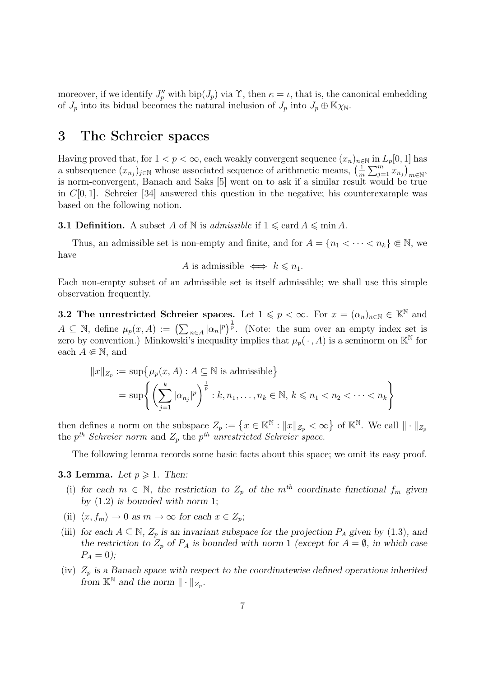moreover, if we identify  $J_p''$  with  $\text{bip}(J_p)$  via  $\Upsilon$ , then  $\kappa = \iota$ , that is, the canonical embedding of  $J_p$  into its bidual becomes the natural inclusion of  $J_p$  into  $J_p \oplus \mathbb{K}\chi_{\mathbb{N}}$ .

#### 3 The Schreier spaces

Having proved that, for  $1 < p < \infty$ , each weakly convergent sequence  $(x_n)_{n \in \mathbb{N}}$  in  $L_p[0,1]$  has a subsequence  $(x_{n_j})_{j\in\mathbb{N}}$  whose associated sequence of arithmetic means,  $\left(\frac{1}{n}\right)$  $\frac{1}{m}\sum_{j=1}^m x_{n_j}\big)_{m\in\mathbb{N}},$ is norm-convergent, Banach and Saks [5] went on to ask if a similar result would be true in  $C[0, 1]$ . Schreier [34] answered this question in the negative; his counterexample was based on the following notion.

**3.1 Definition.** A subset A of N is *admissible* if  $1 \leqslant \text{card } A \leqslant \text{min } A$ .

Thus, an admissible set is non-empty and finite, and for  $A = \{n_1 < \cdots < n_k\} \in \mathbb{N}$ , we have

A is admissible  $\iff k \leq n_1$ .

Each non-empty subset of an admissible set is itself admissible; we shall use this simple observation frequently.

3.2 The unrestricted Schreier spaces. Let  $1 \leqslant p < \infty$ . For  $x = (\alpha_n)_{n \in \mathbb{N}} \in \mathbb{K}^{\mathbb{N}}$  and  $A \subseteq \mathbb{N}$ , define  $\mu_p(x, A) := (\sum_{n \in A} |\alpha_n|^p)^{\frac{1}{p}}$ . (Note: the sum over an empty index set is zero by convention.) Minkowski's inequality implies that  $\mu_p(\cdot, A)$  is a seminorm on  $\mathbb{K}^{\mathbb{N}}$  for each  $A \in \mathbb{N}$ , and

$$
||x||_{Z_p} := \sup \{ \mu_p(x, A) : A \subseteq \mathbb{N} \text{ is admissible} \}
$$
  
= 
$$
\sup \left\{ \left( \sum_{j=1}^k |\alpha_{n_j}|^p \right)^{\frac{1}{p}} : k, n_1, \dots, n_k \in \mathbb{N}, k \leq n_1 < n_2 < \dots < n_k \right\}
$$

then defines a norm on the subspace  $Z_p := \{x \in \mathbb{K}^{\mathbb{N}} : ||x||_{Z_p} < \infty\}$  of  $\mathbb{K}^{\mathbb{N}}$ . We call  $|| \cdot ||_{Z_p}$ the  $p^{th}$  Schreier norm and  $Z_p$  the  $p^{th}$  unrestricted Schreier space.

The following lemma records some basic facts about this space; we omit its easy proof.

#### **3.3 Lemma.** Let  $p \ge 1$ . Then:

- (i) for each  $m \in \mathbb{N}$ , the restriction to  $Z_p$  of the  $m<sup>th</sup>$  coordinate functional  $f_m$  given by  $(1.2)$  is bounded with norm 1;
- (ii)  $\langle x, f_m \rangle \to 0$  as  $m \to \infty$  for each  $x \in Z_p$ ;
- (iii) for each  $A \subseteq \mathbb{N}$ ,  $Z_p$  is an invariant subspace for the projection  $P_A$  given by (1.3), and the restriction to  $Z_p$  of  $P_A$  is bounded with norm 1 (except for  $A = \emptyset$ , in which case  $P_A = 0);$
- (iv)  $Z_p$  is a Banach space with respect to the coordinatewise defined operations inherited from  $\mathbb{K}^{\mathbb{N}}$  and the norm  $\|\cdot\|_{Z_p}$ .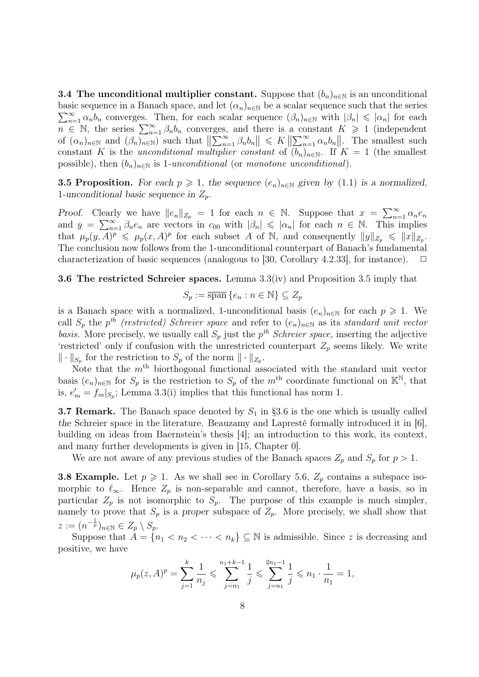3.4 The unconditional multiplier constant. Suppose that  $(b_n)_{n\in\mathbb{N}}$  is an unconditional  $\sum_{n=1}^{\infty} \alpha_n b_n$  converges. Then, for each scalar sequence  $(\beta_n)_{n\in\mathbb{N}}$  with  $|\beta_n| \leqslant |\alpha_n|$  for each basic sequence in a Banach space, and let  $(\alpha_n)_{n\in\mathbb{N}}$  be a scalar sequence such that the series  $n \in \mathbb{N}$ , the series  $\sum_{n=1}^{\infty} \beta_n b_n$  converges, and there is a constant  $K \geq 1$  (independent of  $(\alpha_n)_{n\in\mathbb{N}}$  and  $(\beta_n)_{n\in\mathbb{N}}$  such that  $\left\|\sum_{n=1}^{\infty} \beta_n b_n\right\| \leq K \left\|\sum_{n=1}^{\infty} \alpha_n b_n\right\|$ . The smallest such constant K is the unconditional multiplier constant of  $(b_n)_{n\in\mathbb{N}}$ . If  $K = 1$  (the smallest possible), then  $(b_n)_{n\in\mathbb{N}}$  is 1-unconditional (or monotone unconditional).

**3.5 Proposition.** For each  $p \ge 1$ , the sequence  $(e_n)_{n \in \mathbb{N}}$  given by (1.1) is a normalized, 1-unconditional basic sequence in  $Z_p$ .

Proof. Clearly we have  $||e_n||_{Z_p} = 1$  for each  $n \in \mathbb{N}$ . Suppose that  $x = \sum_{n=1}^{\infty} \alpha_n e_n$ and  $y = \sum_{n=1}^{\infty} \beta_n e_n$  are vectors in  $c_{00}$  with  $|\beta_n| \leqslant |\alpha_n|$  for each  $n \in \mathbb{N}$ . This implies that  $\mu_p(y, A)^p \leq \mu_p(x, A)^p$  for each subset A of N, and consequently  $||y||_{Z_p} \leq ||x||_{Z_p}$ . The conclusion now follows from the 1-unconditional counterpart of Banach's fundamental characterization of basic sequences (analogous to [30, Corollary 4.2.33], for instance).  $\Box$ 

3.6 The restricted Schreier spaces. Lemma 3.3(iv) and Proposition 3.5 imply that

$$
S_p := \overline{\operatorname{span}}\, \{e_n : n \in \mathbb{N}\} \subseteq Z_p
$$

is a Banach space with a normalized, 1-unconditional basis  $(e_n)_{n\in\mathbb{N}}$  for each  $p \geq 1$ . We call  $S_p$  the  $p^{th}$  (restricted) Schreier space and refer to  $(e_n)_{n\in\mathbb{N}}$  as its standard unit vector basis. More precisely, we usually call  $S_p$  just the  $p^{th}$  Schreier space, inserting the adjective 'restricted' only if confusion with the unrestricted counterpart  $Z_p$  seems likely. We write  $\|\cdot\|_{S_p}$  for the restriction to  $S_p$  of the norm  $\|\cdot\|_{Z_p}$ .

Note that the  $m<sup>th</sup>$  biorthogonal functional associated with the standard unit vector basis  $(e_n)_{n\in\mathbb{N}}$  for  $S_p$  is the restriction to  $S_p$  of the  $m^{\text{th}}$  coordinate functional on  $\mathbb{K}^{\mathbb{N}}$ , that is,  $e'_m = f_m|_{S_p}$ ; Lemma 3.3(i) implies that this functional has norm 1.

**3.7 Remark.** The Banach space denoted by  $S_1$  in §3.6 is the one which is usually called the Schreier space in the literature. Beauzamy and Lapresté formally introduced it in [6], building on ideas from Baernstein's thesis [4]; an introduction to this work, its context, and many further developments is given in [15, Chapter 0].

We are not aware of any previous studies of the Banach spaces  $Z_p$  and  $S_p$  for  $p > 1$ .

**3.8 Example.** Let  $p \ge 1$ . As we shall see in Corollary 5.6,  $Z_p$  contains a subspace isomorphic to  $\ell_{\infty}$ . Hence  $Z_p$  is non-separable and cannot, therefore, have a basis, so in particular  $Z_p$  is not isomorphic to  $S_p$ . The purpose of this example is much simpler, namely to prove that  $S_p$  is a proper subspace of  $Z_p$ . More precisely, we shall show that  $z := (n^{-\frac{1}{p}})_{n \in \mathbb{N}} \in Z_p \setminus S_p.$ 

Suppose that  $A = \{n_1 < n_2 < \cdots < n_k\} \subseteq \mathbb{N}$  is admissible. Since z is decreasing and positive, we have

$$
\mu_p(z, A)^p = \sum_{j=1}^k \frac{1}{n_j} \leqslant \sum_{j=n_1}^{n_1+k-1} \frac{1}{j} \leqslant \sum_{j=n_1}^{2n_1-1} \frac{1}{j} \leqslant n_1 \cdot \frac{1}{n_1} = 1,
$$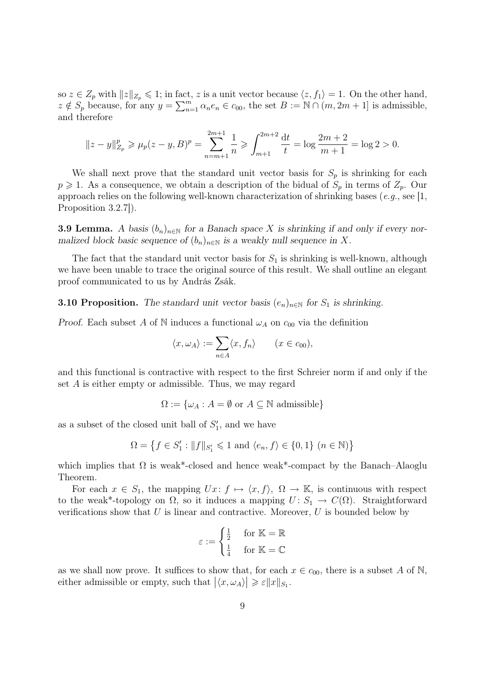so  $z \in Z_p$  with  $||z||_{Z_p} \leq 1$ ; in fact, z is a unit vector because  $\langle z, f_1 \rangle = 1$ . On the other hand,  $z \notin S_p$  because, for any  $y = \sum_{n=1}^m \alpha_n e_n \in c_{00}$ , the set  $B := \mathbb{N} \cap (m, 2m + 1]$  is admissible, and therefore

$$
||z - y||_{Z_p}^p \ge \mu_p(z - y, B)^p = \sum_{n=m+1}^{2m+1} \frac{1}{n} \ge \int_{m+1}^{2m+2} \frac{dt}{t} = \log \frac{2m+2}{m+1} = \log 2 > 0.
$$

We shall next prove that the standard unit vector basis for  $S_p$  is shrinking for each  $p \geq 1$ . As a consequence, we obtain a description of the bidual of  $S_p$  in terms of  $Z_p$ . Our approach relies on the following well-known characterization of shrinking bases (e.g., see [1, Proposition 3.2.7]).

**3.9 Lemma.** A basis  $(b_n)_{n\in\mathbb{N}}$  for a Banach space X is shrinking if and only if every normalized block basic sequence of  $(b_n)_{n\in\mathbb{N}}$  is a weakly null sequence in X.

The fact that the standard unit vector basis for  $S_1$  is shrinking is well-known, although we have been unable to trace the original source of this result. We shall outline an elegant proof communicated to us by András Zsák.

**3.10 Proposition.** The standard unit vector basis  $(e_n)_{n\in\mathbb{N}}$  for  $S_1$  is shrinking.

Proof. Each subset A of N induces a functional  $\omega_A$  on  $c_{00}$  via the definition

$$
\langle x, \omega_A \rangle := \sum_{n \in A} \langle x, f_n \rangle \qquad (x \in c_{00}),
$$

and this functional is contractive with respect to the first Schreier norm if and only if the set A is either empty or admissible. Thus, we may regard

 $\Omega := \{ \omega_A : A = \emptyset \text{ or } A \subseteq \mathbb{N} \text{ admissible} \}$ 

as a subset of the closed unit ball of  $S'_1$ , and we have

$$
\Omega = \left\{ f \in S_1' : \|f\|_{S_1'} \leqslant 1 \text{ and } \langle e_n, f \rangle \in \{0,1\} \ (n \in \mathbb{N}) \right\}
$$

which implies that  $\Omega$  is weak\*-closed and hence weak\*-compact by the Banach–Alaoglu Theorem.

For each  $x \in S_1$ , the mapping  $Ux: f \mapsto \langle x, f \rangle$ ,  $\Omega \to \mathbb{K}$ , is continuous with respect to the weak\*-topology on  $\Omega$ , so it induces a mapping  $U: S_1 \to C(\Omega)$ . Straightforward verifications show that  $U$  is linear and contractive. Moreover,  $U$  is bounded below by

$$
\varepsilon := \begin{cases} \frac{1}{2} & \text{for } \mathbb{K} = \mathbb{R} \\ \frac{1}{4} & \text{for } \mathbb{K} = \mathbb{C} \end{cases}
$$

as we shall now prove. It suffices to show that, for each  $x \in c_{00}$ , there is a subset A of N, either admissible or empty, such that  $|\langle x, \omega_A \rangle| \geqslant \varepsilon ||x||_{S_1}$ .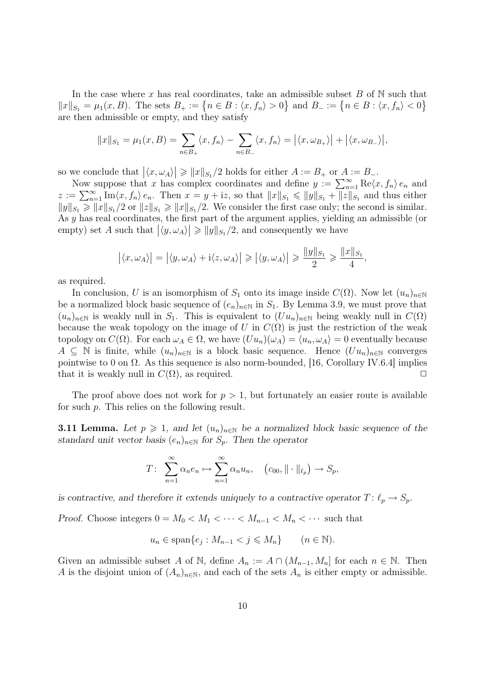In the case where x has real coordinates, take an admissible subset  $B$  of  $N$  such that  $||x||_{S_1} = \mu_1(x, B)$ . The sets  $B_+ := \{n \in B : \langle x, f_n \rangle > 0\}$  and  $B_- := \{n \in B : \langle x, f_n \rangle < 0\}$ are then admissible or empty, and they satisfy

$$
||x||_{S_1} = \mu_1(x, B) = \sum_{n \in B_+} \langle x, f_n \rangle - \sum_{n \in B_-} \langle x, f_n \rangle = |\langle x, \omega_{B_+} \rangle| + |\langle x, \omega_{B_-} \rangle|,
$$

so we conclude that  $|\langle x, \omega_A \rangle| \geq ||x||_{S_1}/2$  holds for either  $A := B_+$  or  $A := B_-$ .

Now suppose that x has complex coordinates and define  $y := \sum_{n=1}^{\infty} \text{Re}\langle x, f_n \rangle e_n$  and  $z := \sum_{n=1}^{\infty} \text{Im}\langle x, f_n \rangle e_n$ . Then  $x = y + iz$ , so that  $||x||_{S_1} \le ||y||_{S_1} + ||z||_{S_1}$  and thus either  $||y||_{S_1} \ge ||x||_{S_1} / 2$  or  $||z||_{S_1} \ge ||x||_{S_1} / 2$ . We consider the first case only; the second is similar. As y has real coordinates, the first part of the argument applies, yielding an admissible (or empty) set A such that  $|\langle y, \omega_A \rangle| \geq ||y||_{S_1}/2$ , and consequently we have

$$
|\langle x, \omega_A \rangle| = |\langle y, \omega_A \rangle + i \langle z, \omega_A \rangle| \ge |\langle y, \omega_A \rangle| \ge \frac{\|y\|_{S_1}}{2} \ge \frac{\|x\|_{S_1}}{4},
$$

as required.

In conclusion, U is an isomorphism of  $S_1$  onto its image inside  $C(\Omega)$ . Now let  $(u_n)_{n\in\mathbb{N}}$ be a normalized block basic sequence of  $(e_n)_{n\in\mathbb{N}}$  in  $S_1$ . By Lemma 3.9, we must prove that  $(u_n)_{n\in\mathbb{N}}$  is weakly null in  $S_1$ . This is equivalent to  $(Uu_n)_{n\in\mathbb{N}}$  being weakly null in  $C(\Omega)$ because the weak topology on the image of U in  $C(\Omega)$  is just the restriction of the weak topology on  $C(\Omega)$ . For each  $\omega_A \in \Omega$ , we have  $(Uu_n)(\omega_A) = \langle u_n, \omega_A \rangle = 0$  eventually because  $A \subseteq \mathbb{N}$  is finite, while  $(u_n)_{n\in\mathbb{N}}$  is a block basic sequence. Hence  $(Uu_n)_{n\in\mathbb{N}}$  converges pointwise to 0 on  $\Omega$ . As this sequence is also norm-bounded, [16, Corollary IV.6.4] implies that it is weakly null in  $C(\Omega)$ , as required.

The proof above does not work for  $p > 1$ , but fortunately an easier route is available for such p. This relies on the following result.

**3.11 Lemma.** Let  $p \ge 1$ , and let  $(u_n)_{n \in \mathbb{N}}$  be a normalized block basic sequence of the standard unit vector basis  $(e_n)_{n\in\mathbb{N}}$  for  $S_p$ . Then the operator

$$
T: \sum_{n=1}^{\infty} \alpha_n e_n \mapsto \sum_{n=1}^{\infty} \alpha_n u_n, \quad (c_{00}, \|\cdot\|_{\ell_p}) \to S_p,
$$

is contractive, and therefore it extends uniquely to a contractive operator  $T: \ell_p \to S_p$ .

Proof. Choose integers  $0 = M_0 < M_1 < \cdots < M_{n-1} < M_n < \cdots$  such that

$$
u_n \in \text{span}\{e_j : M_{n-1} < j \leqslant M_n\} \qquad (n \in \mathbb{N}).
$$

Given an admissible subset A of N, define  $A_n := A \cap (M_{n-1}, M_n]$  for each  $n \in \mathbb{N}$ . Then A is the disjoint union of  $(A_n)_{n\in\mathbb{N}}$ , and each of the sets  $A_n$  is either empty or admissible.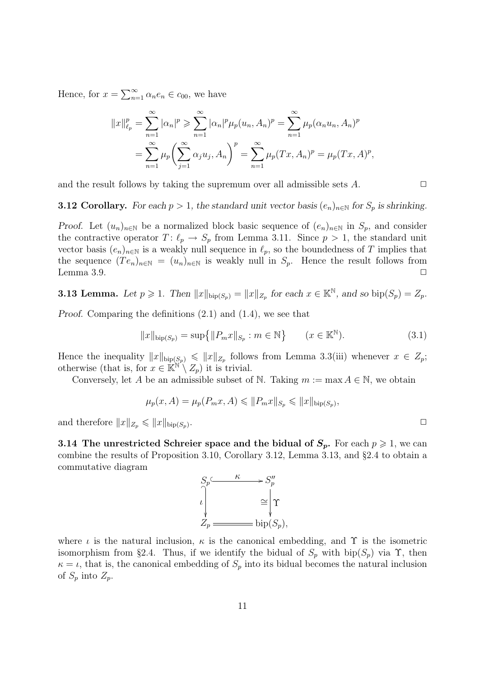Hence, for  $x = \sum_{n=1}^{\infty} \alpha_n e_n \in c_{00}$ , we have

$$
||x||_{\ell_p}^p = \sum_{n=1}^{\infty} |\alpha_n|^p \ge \sum_{n=1}^{\infty} |\alpha_n|^p \mu_p(u_n, A_n)^p = \sum_{n=1}^{\infty} \mu_p(\alpha_n u_n, A_n)^p
$$
  
= 
$$
\sum_{n=1}^{\infty} \mu_p \left( \sum_{j=1}^{\infty} \alpha_j u_j, A_n \right)^p = \sum_{n=1}^{\infty} \mu_p(Tx, A_n)^p = \mu_p(Tx, A)^p,
$$

and the result follows by taking the supremum over all admissible sets  $A$ .  $\Box$ 

**3.12 Corollary.** For each  $p > 1$ , the standard unit vector basis  $(e_n)_{n \in \mathbb{N}}$  for  $S_p$  is shrinking.

Proof. Let  $(u_n)_{n\in\mathbb{N}}$  be a normalized block basic sequence of  $(e_n)_{n\in\mathbb{N}}$  in  $S_p$ , and consider the contractive operator  $T: \ell_p \to S_p$  from Lemma 3.11. Since  $p > 1$ , the standard unit vector basis  $(e_n)_{n\in\mathbb{N}}$  is a weakly null sequence in  $\ell_p$ , so the boundedness of T implies that the sequence  $(T e_n)_{n \in \mathbb{N}} = (u_n)_{n \in \mathbb{N}}$  is weakly null in  $S_p$ . Hence the result follows from Lemma 3.9.  $\Box$ 

**3.13 Lemma.** Let  $p \ge 1$ . Then  $||x||_{\text{bip}(S_p)} = ||x||_{Z_p}$  for each  $x \in \mathbb{K}^{\mathbb{N}}$ , and so  $\text{bip}(S_p) = Z_p$ .

Proof. Comparing the definitions (2.1) and (1.4), we see that

$$
||x||_{\text{bip}(S_p)} = \sup \{ ||P_m x||_{S_p} : m \in \mathbb{N} \} \qquad (x \in \mathbb{K}^{\mathbb{N}}). \tag{3.1}
$$

Hence the inequality  $||x||_{\text{bip}(S_p)} \le ||x||_{Z_p}$  follows from Lemma 3.3(iii) whenever  $x \in Z_p$ ; otherwise (that is, for  $x \in \mathbb{R}^{\mathbb{N}} \setminus Z_p$ ) it is trivial.

Conversely, let A be an admissible subset of N. Taking  $m := \max A \in \mathbb{N}$ , we obtain

$$
\mu_p(x, A) = \mu_p(P_m x, A) \leq \|P_m x\|_{S_p} \leq \|x\|_{\text{bip}(S_p)},
$$

and therefore  $||x||_{Z_p} \leq ||x||_{\text{bip}(S_p)}$ .

3.14 The unrestricted Schreier space and the bidual of  $S_p$ . For each  $p \geq 1$ , we can combine the results of Proposition 3.10, Corollary 3.12, Lemma 3.13, and §2.4 to obtain a commutative diagram



where  $\iota$  is the natural inclusion,  $\kappa$  is the canonical embedding, and  $\Upsilon$  is the isometric isomorphism from §2.4. Thus, if we identify the bidual of  $S_p$  with bip( $S_p$ ) via  $\Upsilon$ , then  $\kappa = \iota$ , that is, the canonical embedding of  $S_p$  into its bidual becomes the natural inclusion of  $S_p$  into  $Z_p$ .

.  $\Box$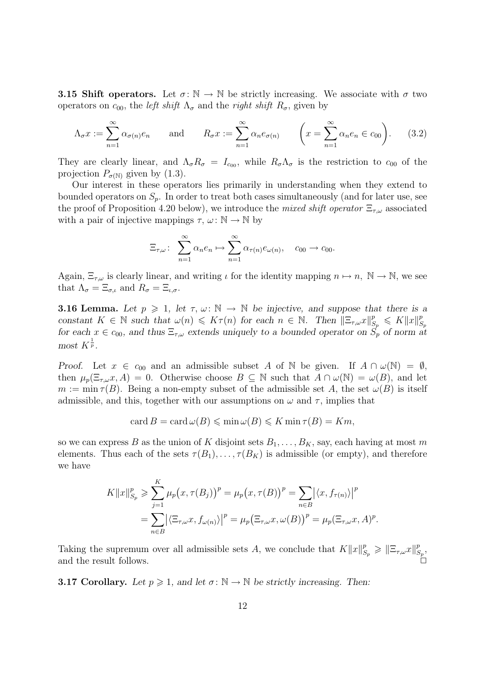**3.15 Shift operators.** Let  $\sigma : \mathbb{N} \to \mathbb{N}$  be strictly increasing. We associate with  $\sigma$  two operators on  $c_{00}$ , the *left shift*  $\Lambda_{\sigma}$  and the *right shift*  $R_{\sigma}$ , given by

$$
\Lambda_{\sigma} x := \sum_{n=1}^{\infty} \alpha_{\sigma(n)} e_n \quad \text{and} \quad R_{\sigma} x := \sum_{n=1}^{\infty} \alpha_n e_{\sigma(n)} \quad \left( x = \sum_{n=1}^{\infty} \alpha_n e_n \in c_{00} \right). \tag{3.2}
$$

They are clearly linear, and  $\Lambda_{\sigma} R_{\sigma} = I_{c_{00}}$ , while  $R_{\sigma} \Lambda_{\sigma}$  is the restriction to  $c_{00}$  of the projection  $P_{\sigma(N)}$  given by (1.3).

Our interest in these operators lies primarily in understanding when they extend to bounded operators on  $S_p$ . In order to treat both cases simultaneously (and for later use, see the proof of Proposition 4.20 below), we introduce the mixed shift operator  $\Xi_{\tau,\omega}$  associated with a pair of injective mappings  $\tau$ ,  $\omega: \mathbb{N} \to \mathbb{N}$  by

$$
\Xi_{\tau,\omega}: \sum_{n=1}^{\infty} \alpha_n e_n \mapsto \sum_{n=1}^{\infty} \alpha_{\tau(n)} e_{\omega(n)}, \quad c_{00} \to c_{00}.
$$

Again,  $\Xi_{\tau,\omega}$  is clearly linear, and writing  $\iota$  for the identity mapping  $n \mapsto n$ ,  $\mathbb{N} \to \mathbb{N}$ , we see that  $\Lambda_{\sigma} = \Xi_{\sigma,\iota}$  and  $R_{\sigma} = \Xi_{\iota,\sigma}$ .

**3.16 Lemma.** Let  $p \geq 1$ , let  $\tau, \omega \colon \mathbb{N} \to \mathbb{N}$  be injective, and suppose that there is a constant  $K \in \mathbb{N}$  such that  $\omega(n) \leqslant K\tau(n)$  for each  $n \in \mathbb{N}$ . Then  $\|\Xi_{\tau,\omega}x\|_{S_p}^p \leqslant K\|x\|_{S_p}^p$  $S_p$ for each  $x \in c_{00}$ , and thus  $\Xi_{\tau,\omega}$  extends uniquely to a bounded operator on  $S_p$  of norm at most  $K^{\frac{1}{p}}$ .

Proof. Let  $x \in c_{00}$  and an admissible subset A of N be given. If  $A \cap \omega(N) = \emptyset$ , then  $\mu_p(\Xi_{\tau,\omega}x,A) = 0$ . Otherwise choose  $B \subseteq \mathbb{N}$  such that  $A \cap \omega(\mathbb{N}) = \omega(B)$ , and let  $m := \min \tau(B)$ . Being a non-empty subset of the admissible set A, the set  $\omega(B)$  is itself admissible, and this, together with our assumptions on  $\omega$  and  $\tau$ , implies that

$$
\operatorname{card} B = \operatorname{card} \omega(B) \leqslant \min \omega(B) \leqslant K \min \tau(B) = Km,
$$

so we can express B as the union of K disjoint sets  $B_1, \ldots, B_K$ , say, each having at most m elements. Thus each of the sets  $\tau(B_1), \ldots, \tau(B_K)$  is admissible (or empty), and therefore we have

$$
K||x||_{S_p}^p \geqslant \sum_{j=1}^K \mu_p(x, \tau(B_j))^p = \mu_p(x, \tau(B))^p = \sum_{n \in B} |\langle x, f_{\tau(n)} \rangle|^p
$$
  
= 
$$
\sum_{n \in B} |\langle \Xi_{\tau, \omega} x, f_{\omega(n)} \rangle|^p = \mu_p(\Xi_{\tau, \omega} x, \omega(B))^p = \mu_p(\Xi_{\tau, \omega} x, A)^p.
$$

Taking the supremum over all admissible sets A, we conclude that  $K||x||_{S_p}^p \geq ||\Xi_{\tau,\omega}x||_{S_p}^p$  $^p_{S_p},$ and the result follows.

**3.17 Corollary.** Let  $p \ge 1$ , and let  $\sigma : \mathbb{N} \to \mathbb{N}$  be strictly increasing. Then: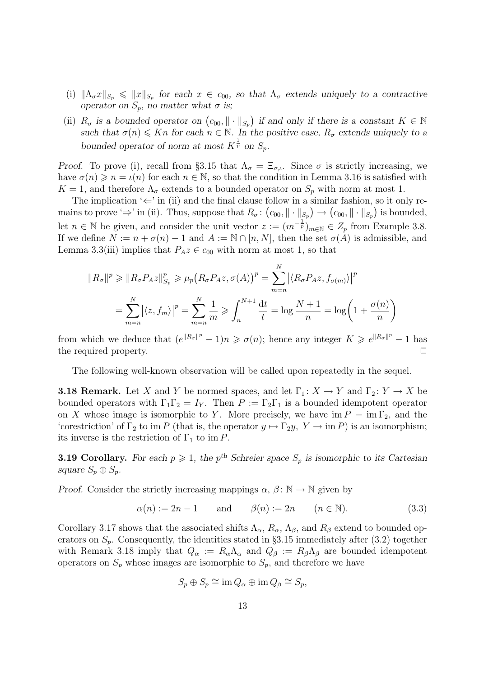- (i)  $\|\Lambda_\sigma x\|_{S_p} \leq \|x\|_{S_p}$  for each  $x \in c_{00}$ , so that  $\Lambda_\sigma$  extends uniquely to a contractive operator on  $S_p$ , no matter what  $\sigma$  is;
- (ii)  $R_{\sigma}$  is a bounded operator on  $(c_{00}, \|\cdot\|_{S_p})$  if and only if there is a constant  $K \in \mathbb{N}$ such that  $\sigma(n) \leq K_n$  for each  $n \in \mathbb{N}$ . In the positive case,  $R_{\sigma}$  extends uniquely to a bounded operator of norm at most  $K^{\frac{1}{p}}$  on  $S_p$ .

Proof. To prove (i), recall from §3.15 that  $\Lambda_{\sigma} = \Xi_{\sigma,\iota}$ . Since  $\sigma$  is strictly increasing, we have  $\sigma(n) \geqslant n = \iota(n)$  for each  $n \in \mathbb{N}$ , so that the condition in Lemma 3.16 is satisfied with  $K = 1$ , and therefore  $\Lambda_{\sigma}$  extends to a bounded operator on  $S_p$  with norm at most 1.

The implication ' $\Leftarrow$ ' in (ii) and the final clause follow in a similar fashion, so it only remains to prove ' $\Rightarrow$ ' in (ii). Thus, suppose that  $R_{\sigma}$ :  $(c_{00}, \|\cdot\|_{S_p}) \to (c_{00}, \|\cdot\|_{S_p})$  is bounded, let  $n \in \mathbb{N}$  be given, and consider the unit vector  $z := (m^{-\frac{1}{p}})_{m \in \mathbb{N}} \in Z_p$  from Example 3.8. If we define  $N := n + \sigma(n) - 1$  and  $A := \mathbb{N} \cap [n, N]$ , then the set  $\sigma(A)$  is admissible, and Lemma 3.3(iii) implies that  $P_A z \in c_{00}$  with norm at most 1, so that

$$
||R_{\sigma}||^{p} \ge ||R_{\sigma}P_{A}z||_{S_{p}}^{p} \ge \mu_{p}(R_{\sigma}P_{A}z, \sigma(A))^{p} = \sum_{m=n}^{N} |\langle R_{\sigma}P_{A}z, f_{\sigma(m)}\rangle|^{p}
$$
  
= 
$$
\sum_{m=n}^{N} |\langle z, f_{m}\rangle|^{p} = \sum_{m=n}^{N} \frac{1}{m} \ge \int_{n}^{N+1} \frac{dt}{t} = \log \frac{N+1}{n} = \log \left(1 + \frac{\sigma(n)}{n}\right)
$$

from which we deduce that  $(e^{\|R_{\sigma}\|^p}-1)n \geq \sigma(n)$ ; hence any integer  $K \geq e^{\|R_{\sigma}\|^p}-1$  has the required property.

The following well-known observation will be called upon repeatedly in the sequel.

**3.18 Remark.** Let X and Y be normed spaces, and let  $\Gamma_1: X \to Y$  and  $\Gamma_2: Y \to X$  be bounded operators with  $\Gamma_1\Gamma_2 = I_Y$ . Then  $P := \Gamma_2\Gamma_1$  is a bounded idempotent operator on X whose image is isomorphic to Y. More precisely, we have  $\text{im } P = \text{im } \Gamma_2$ , and the 'corestriction' of  $\Gamma_2$  to im P (that is, the operator  $y \mapsto \Gamma_2 y$ ,  $Y \to \text{im } P$ ) is an isomorphism; its inverse is the restriction of  $\Gamma_1$  to im P.

**3.19 Corollary.** For each  $p \ge 1$ , the p<sup>th</sup> Schreier space  $S_p$  is isomorphic to its Cartesian square  $S_p \oplus S_p$ .

Proof. Consider the strictly increasing mappings  $\alpha$ ,  $\beta \colon \mathbb{N} \to \mathbb{N}$  given by

$$
\alpha(n) := 2n - 1 \qquad \text{and} \qquad \beta(n) := 2n \qquad (n \in \mathbb{N}). \tag{3.3}
$$

Corollary 3.17 shows that the associated shifts  $\Lambda_{\alpha}$ ,  $R_{\alpha}$ ,  $\Lambda_{\beta}$ , and  $R_{\beta}$  extend to bounded operators on  $S_p$ . Consequently, the identities stated in §3.15 immediately after (3.2) together with Remark 3.18 imply that  $Q_{\alpha} := R_{\alpha} \Lambda_{\alpha}$  and  $Q_{\beta} := R_{\beta} \Lambda_{\beta}$  are bounded idempotent operators on  $S_p$  whose images are isomorphic to  $S_p$ , and therefore we have

$$
S_p \oplus S_p \cong \text{im } Q_\alpha \oplus \text{im } Q_\beta \cong S_p,
$$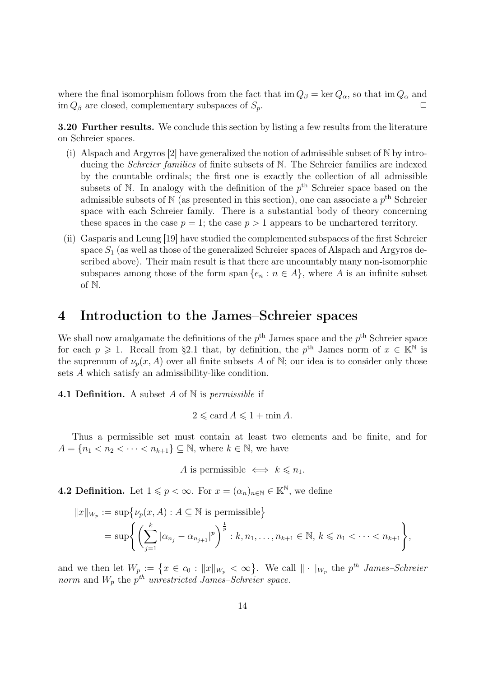where the final isomorphism follows from the fact that  $\text{im } Q_\beta = \text{ker } Q_\alpha$ , so that  $\text{im } Q_\alpha$  and im  $Q_\beta$  are closed, complementary subspaces of  $S_p$ .

3.20 Further results. We conclude this section by listing a few results from the literature on Schreier spaces.

- (i) Alspach and Argyros [2] have generalized the notion of admissible subset of N by introducing the Schreier families of finite subsets of N. The Schreier families are indexed by the countable ordinals; the first one is exactly the collection of all admissible subsets of  $\mathbb N$ . In analogy with the definition of the  $p^{\text{th}}$  Schreier space based on the admissible subsets of  $\mathbb N$  (as presented in this section), one can associate a  $p^{\text{th}}$  Schreier space with each Schreier family. There is a substantial body of theory concerning these spaces in the case  $p = 1$ ; the case  $p > 1$  appears to be unchartered territory.
- (ii) Gasparis and Leung [19] have studied the complemented subspaces of the first Schreier space  $S_1$  (as well as those of the generalized Schreier spaces of Alspach and Argyros described above). Their main result is that there are uncountably many non-isomorphic subspaces among those of the form  $\overline{\text{span}} \{e_n : n \in A\}$ , where A is an infinite subset of N.

### 4 Introduction to the James–Schreier spaces

We shall now amalgamate the definitions of the  $p<sup>th</sup>$  James space and the  $p<sup>th</sup>$  Schreier space for each  $p \geq 1$ . Recall from §2.1 that, by definition, the  $p^{\text{th}}$  James norm of  $x \in \mathbb{K}^{\mathbb{N}}$  is the supremum of  $\nu_p(x, A)$  over all finite subsets A of N; our idea is to consider only those sets A which satisfy an admissibility-like condition.

**4.1 Definition.** A subset A of  $\mathbb N$  is *permissible* if

$$
2 \leqslant \operatorname{card} A \leqslant 1 + \min A.
$$

Thus a permissible set must contain at least two elements and be finite, and for  $A = \{n_1 < n_2 < \cdots < n_{k+1}\} \subseteq \mathbb{N}$ , where  $k \in \mathbb{N}$ , we have

A is permissible  $\iff k \leq n_1$ .

**4.2 Definition.** Let  $1 \leq p < \infty$ . For  $x = (\alpha_n)_{n \in \mathbb{N}} \in \mathbb{K}^{\mathbb{N}}$ , we define

$$
||x||_{W_p} := \sup \{ \nu_p(x, A) : A \subseteq \mathbb{N} \text{ is permissible} \}
$$
  
= 
$$
\sup \left\{ \left( \sum_{j=1}^k |\alpha_{n_j} - \alpha_{n_{j+1}}|^p \right)^{\frac{1}{p}} : k, n_1, \dots, n_{k+1} \in \mathbb{N}, k \le n_1 < \dots < n_{k+1} \right\},\
$$

and we then let  $W_p := \{x \in c_0 : ||x||_{W_p} < \infty\}$ . We call  $|| \cdot ||_{W_p}$  the  $p^{th}$  James-Schreier norm and  $W_p$  the  $p^{th}$  unrestricted James–Schreier space.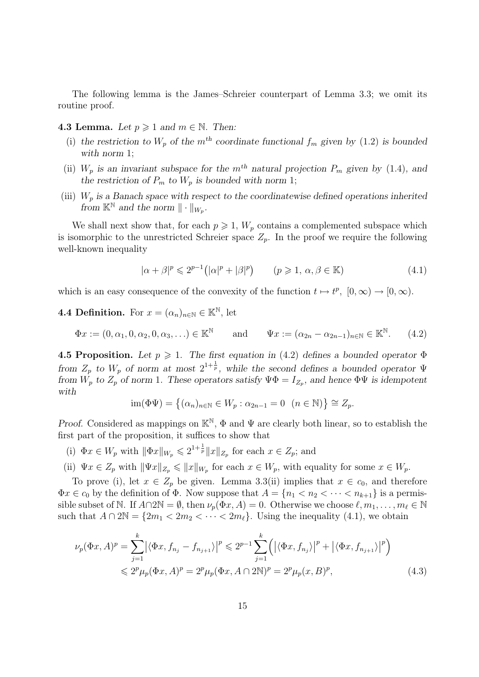The following lemma is the James–Schreier counterpart of Lemma 3.3; we omit its routine proof.

#### 4.3 Lemma. Let  $p \geqslant 1$  and  $m \in \mathbb{N}$ . Then:

- (i) the restriction to  $W_p$  of the m<sup>th</sup> coordinate functional  $f_m$  given by (1.2) is bounded with norm 1;
- (ii)  $W_p$  is an invariant subspace for the m<sup>th</sup> natural projection  $P_m$  given by (1.4), and the restriction of  $P_m$  to  $W_p$  is bounded with norm 1;
- (iii)  $W_p$  is a Banach space with respect to the coordinatewise defined operations inherited from  $\mathbb{K}^{\mathbb{N}}$  and the norm  $\|\cdot\|_{W_p}$ .

We shall next show that, for each  $p \geq 1$ ,  $W_p$  contains a complemented subspace which is isomorphic to the unrestricted Schreier space  $Z_p$ . In the proof we require the following well-known inequality

$$
|\alpha + \beta|^p \leq 2^{p-1} (|\alpha|^p + |\beta|^p) \qquad (p \geq 1, \, \alpha, \beta \in \mathbb{K}) \tag{4.1}
$$

which is an easy consequence of the convexity of the function  $t \mapsto t^p$ ,  $[0, \infty) \to [0, \infty)$ .

#### **4.4 Definition.** For  $x = (\alpha_n)_{n \in \mathbb{N}} \in \mathbb{K}^{\mathbb{N}}$ , let

$$
\Phi x := (0, \alpha_1, 0, \alpha_2, 0, \alpha_3, \ldots) \in \mathbb{K}^{\mathbb{N}} \quad \text{and} \quad \Psi x := (\alpha_{2n} - \alpha_{2n-1})_{n \in \mathbb{N}} \in \mathbb{K}^{\mathbb{N}}.
$$
 (4.2)

4.5 Proposition. Let  $p \geq 1$ . The first equation in (4.2) defines a bounded operator  $\Phi$ from  $Z_p$  to  $W_p$  of norm at most  $2^{1+\frac{1}{p}}$ , while the second defines a bounded operator  $\Psi$ from  $W_p$  to  $Z_p$  of norm 1. These operators satisfy  $\Psi \Phi = I_{Z_p}$ , and hence  $\Phi \Psi$  is idempotent with

$$
\operatorname{im}(\Phi\Psi) = \left\{ (\alpha_n)_{n \in \mathbb{N}} \in W_p : \alpha_{2n-1} = 0 \ \left( n \in \mathbb{N} \right) \right\} \cong Z_p.
$$

Proof. Considered as mappings on  $\mathbb{K}^{\mathbb{N}}, \Phi$  and  $\Psi$  are clearly both linear, so to establish the first part of the proposition, it suffices to show that

(i)  $\Phi x \in W_p$  with  $\|\Phi x\|_{W_p} \leq 2^{1+\frac{1}{p}} \|x\|_{Z_p}$  for each  $x \in Z_p$ ; and

(ii)  $\Psi x \in Z_p$  with  $\|\Psi x\|_{Z_p} \leqslant \|x\|_{W_p}$  for each  $x \in W_p$ , with equality for some  $x \in W_p$ .

To prove (i), let  $x \in Z_p$  be given. Lemma 3.3(ii) implies that  $x \in c_0$ , and therefore  $\Phi x \in c_0$  by the definition of  $\Phi$ . Now suppose that  $A = \{n_1 < n_2 < \cdots < n_{k+1}\}$  is a permissible subset of N. If  $A \cap 2\mathbb{N} = \emptyset$ , then  $\nu_p(\Phi x, A) = 0$ . Otherwise we choose  $\ell, m_1, \ldots, m_\ell \in \mathbb{N}$ such that  $A \cap 2\mathbb{N} = \{2m_1 < 2m_2 < \cdots < 2m_\ell\}$ . Using the inequality (4.1), we obtain

$$
\nu_p(\Phi x, A)^p = \sum_{j=1}^k |\langle \Phi x, f_{n_j} - f_{n_{j+1}} \rangle|^p \leq 2^{p-1} \sum_{j=1}^k (|\langle \Phi x, f_{n_j} \rangle|^p + |\langle \Phi x, f_{n_{j+1}} \rangle|^p)
$$
  

$$
\leq 2^p \mu_p(\Phi x, A)^p = 2^p \mu_p(\Phi x, A \cap 2\mathbb{N})^p = 2^p \mu_p(x, B)^p,
$$
 (4.3)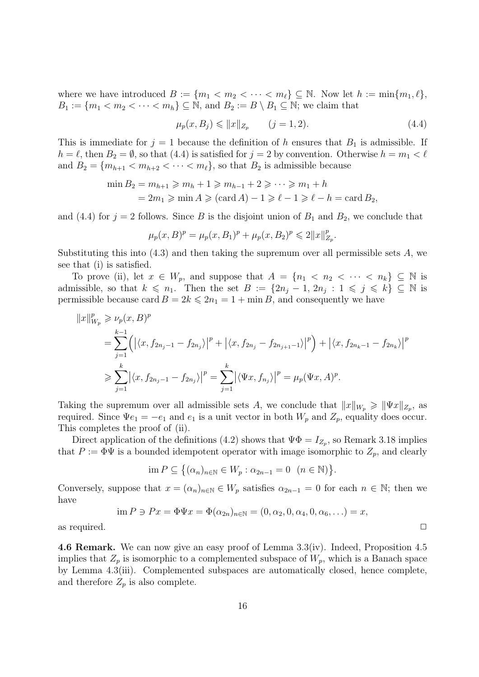where we have introduced  $B := \{m_1 < m_2 < \cdots < m_\ell\} \subseteq \mathbb{N}$ . Now let  $h := \min\{m_1, \ell\},\$  $B_1 := \{m_1 < m_2 < \cdots < m_h\} \subseteq \mathbb{N}$ , and  $B_2 := B \setminus B_1 \subseteq \mathbb{N}$ ; we claim that

$$
\mu_p(x, B_j) \le \|x\|_{Z_p} \qquad (j = 1, 2). \tag{4.4}
$$

This is immediate for  $j = 1$  because the definition of h ensures that  $B_1$  is admissible. If  $h = \ell$ , then  $B_2 = \emptyset$ , so that (4.4) is satisfied for  $j = 2$  by convention. Otherwise  $h = m_1 < \ell$ and  $B_2 = \{m_{h+1} < m_{h+2} < \cdots < m_\ell\}$ , so that  $B_2$  is admissible because

$$
\begin{aligned} \min B_2 &= m_{h+1} \geqslant m_h + 1 \geqslant m_{h-1} + 2 \geqslant \cdots \geqslant m_1 + h \\ &= 2m_1 \geqslant \min A \geqslant (\text{card } A) - 1 \geqslant \ell - 1 \geqslant \ell - h = \text{card } B_2, \end{aligned}
$$

and (4.4) for  $j = 2$  follows. Since B is the disjoint union of  $B_1$  and  $B_2$ , we conclude that

$$
\mu_p(x, B)^p = \mu_p(x, B_1)^p + \mu_p(x, B_2)^p \leq 2||x||_{Z_p}^p.
$$

Substituting this into  $(4.3)$  and then taking the supremum over all permissible sets A, we see that (i) is satisfied.

To prove (ii), let  $x \in W_p$ , and suppose that  $A = \{n_1 < n_2 < \cdots < n_k\} \subseteq \mathbb{N}$  is admissible, so that  $k \leq n_1$ . Then the set  $B := \{2n_j - 1, 2n_j : 1 \leq j \leq k\} \subseteq \mathbb{N}$  is permissible because card  $B = 2k \leq 2n_1 = 1 + \min B$ , and consequently we have

$$
||x||_{W_p}^p \ge \nu_p(x, B)^p
$$
  
=  $\sum_{j=1}^{k-1} (|(x, f_{2n_j-1} - f_{2n_j})|^p + |(x, f_{2n_j} - f_{2n_{j+1}-1})|^p) + |(x, f_{2n_k-1} - f_{2n_k})|^p$   
 $\ge \sum_{j=1}^k |(x, f_{2n_j-1} - f_{2n_j})|^p = \sum_{j=1}^k |(\Psi x, f_{n_j})|^p = \mu_p(\Psi x, A)^p.$ 

Taking the supremum over all admissible sets A, we conclude that  $||x||_{W_p} \ge ||\Psi x||_{Z_p}$ , as required. Since  $\Psi e_1 = -e_1$  and  $e_1$  is a unit vector in both  $W_p$  and  $Z_p$ , equality does occur. This completes the proof of (ii).

Direct application of the definitions (4.2) shows that  $\Psi \Phi = I_{Z_p}$ , so Remark 3.18 implies that  $P := \Phi \Psi$  is a bounded idempotent operator with image isomorphic to  $Z_p$ , and clearly

$$
\operatorname{im} P \subseteq \big\{ (\alpha_n)_{n \in \mathbb{N}} \in W_p : \alpha_{2n-1} = 0 \ \ (n \in \mathbb{N}) \big\}.
$$

Conversely, suppose that  $x = (\alpha_n)_{n \in \mathbb{N}} \in W_p$  satisfies  $\alpha_{2n-1} = 0$  for each  $n \in \mathbb{N}$ ; then we have

$$
\text{im } P \ni Px = \Phi \Psi x = \Phi(\alpha_{2n})_{n \in \mathbb{N}} = (0, \alpha_2, 0, \alpha_4, 0, \alpha_6, \ldots) = x,
$$

as required.  $\Box$ 

4.6 Remark. We can now give an easy proof of Lemma 3.3(iv). Indeed, Proposition 4.5 implies that  $Z_p$  is isomorphic to a complemented subspace of  $W_p$ , which is a Banach space by Lemma 4.3(iii). Complemented subspaces are automatically closed, hence complete, and therefore  $Z_p$  is also complete.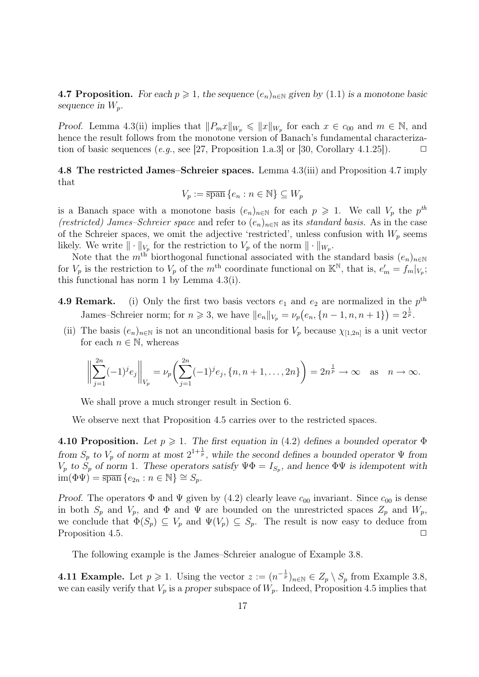4.7 Proposition. For each  $p \geq 1$ , the sequence  $(e_n)_{n \in \mathbb{N}}$  given by  $(1.1)$  is a monotone basic sequence in  $W_p$ .

Proof. Lemma 4.3(ii) implies that  $||P_mx||_{W_p} \le ||x||_{W_p}$  for each  $x \in c_{00}$  and  $m \in \mathbb{N}$ , and hence the result follows from the monotone version of Banach's fundamental characterization of basic sequences (e.g., see [27, Proposition 1.a.3] or [30, Corollary 4.1.25]).  $\Box$ 

4.8 The restricted James–Schreier spaces. Lemma 4.3(iii) and Proposition 4.7 imply that

$$
V_p := \overline{\operatorname{span}}\, \{e_n : n \in \mathbb{N}\} \subseteq W_p
$$

is a Banach space with a monotone basis  $(e_n)_{n\in\mathbb{N}}$  for each  $p \geq 1$ . We call  $V_p$  the  $p^{th}$ (restricted) James–Schreier space and refer to  $(e_n)_{n\in\mathbb{N}}$  as its standard basis. As in the case of the Schreier spaces, we omit the adjective 'restricted', unless confusion with  $W_p$  seems likely. We write  $\|\cdot\|_{V_p}$  for the restriction to  $V_p$  of the norm  $\|\cdot\|_{W_p}$ .

Note that the m<sup>th</sup> biorthogonal functional associated with the standard basis  $(e_n)_{n\in\mathbb{N}}$ for  $V_p$  is the restriction to  $V_p$  of the m<sup>th</sup> coordinate functional on  $\mathbb{K}^{\mathbb{N}}$ , that is,  $e'_m = f_m|_{V_p}$ ; this functional has norm 1 by Lemma 4.3(i).

- **4.9 Remark.** (i) Only the first two basis vectors  $e_1$  and  $e_2$  are normalized in the  $p^{\text{th}}$ James–Schreier norm; for  $n \geq 3$ , we have  $||e_n||_{V_p} = \nu_p(e_n, \{n-1, n, n+1\}) = 2^{\frac{1}{p}}$ .
- (ii) The basis  $(e_n)_{n\in\mathbb{N}}$  is not an unconditional basis for  $V_p$  because  $\chi_{[1,2n]}$  is a unit vector for each  $n \in \mathbb{N}$ , whereas

$$
\left\| \sum_{j=1}^{2n} (-1)^j e_j \right\|_{V_p} = \nu_p \left( \sum_{j=1}^{2n} (-1)^j e_j, \{n, n+1, \dots, 2n\} \right) = 2n^{\frac{1}{p}} \to \infty \quad \text{as} \quad n \to \infty.
$$

We shall prove a much stronger result in Section 6.

We observe next that Proposition 4.5 carries over to the restricted spaces.

4.10 Proposition. Let  $p \geq 1$ . The first equation in (4.2) defines a bounded operator  $\Phi$ from  $S_p$  to  $V_p$  of norm at most  $2^{1+\frac{1}{p}}$ , while the second defines a bounded operator  $\Psi$  from  $V_p$  to  $S_p$  of norm 1. These operators satisfy  $\Psi \Phi = I_{S_p}$ , and hence  $\Phi \Psi$  is idempotent with  $\dim(\Phi\Psi) = \overline{\operatorname{span}} \{e_{2n} : n \in \mathbb{N}\} \cong S_p.$ 

Proof. The operators  $\Phi$  and  $\Psi$  given by (4.2) clearly leave  $c_{00}$  invariant. Since  $c_{00}$  is dense in both  $S_p$  and  $V_p$ , and  $\Phi$  and  $\Psi$  are bounded on the unrestricted spaces  $Z_p$  and  $W_p$ , we conclude that  $\Phi(S_p) \subseteq V_p$  and  $\Psi(V_p) \subseteq S_p$ . The result is now easy to deduce from Proposition 4.5.  $\Box$ 

The following example is the James–Schreier analogue of Example 3.8.

**4.11 Example.** Let  $p \ge 1$ . Using the vector  $z := (n^{-\frac{1}{p}})_{n \in \mathbb{N}} \in Z_p \setminus S_p$  from Example 3.8, we can easily verify that  $V_p$  is a proper subspace of  $W_p$ . Indeed, Proposition 4.5 implies that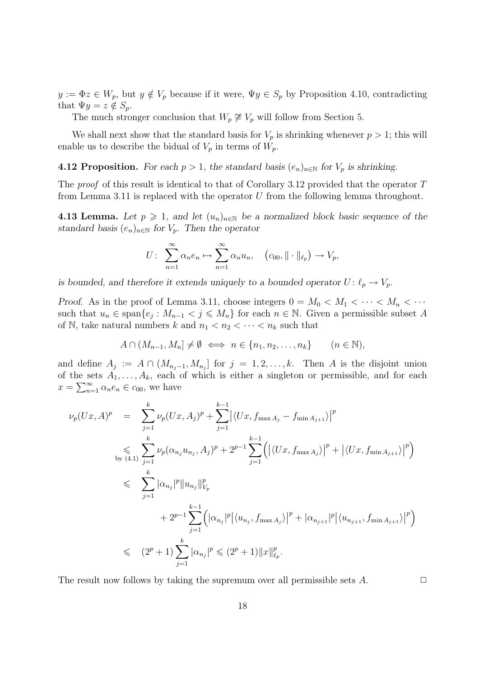$y := \Phi z \in W_p$ , but  $y \notin V_p$  because if it were,  $\Psi y \in S_p$  by Proposition 4.10, contradicting that  $\Psi y = z \notin S_p$ .

The much stronger conclusion that  $W_p \not\cong V_p$  will follow from Section 5.

We shall next show that the standard basis for  $V_p$  is shrinking whenever  $p > 1$ ; this will enable us to describe the bidual of  $V_p$  in terms of  $W_p$ .

**4.12 Proposition.** For each  $p > 1$ , the standard basis  $(e_n)_{n \in \mathbb{N}}$  for  $V_p$  is shrinking.

The proof of this result is identical to that of Corollary 3.12 provided that the operator T from Lemma 3.11 is replaced with the operator  $U$  from the following lemma throughout.

4.13 Lemma. Let  $p \geq 1$ , and let  $(u_n)_{n \in \mathbb{N}}$  be a normalized block basic sequence of the standard basis  $(e_n)_{n\in\mathbb{N}}$  for  $V_p$ . Then the operator

$$
U: \sum_{n=1}^{\infty} \alpha_n e_n \mapsto \sum_{n=1}^{\infty} \alpha_n u_n, \quad (c_{00}, \|\cdot\|_{\ell_p}) \to V_p,
$$

is bounded, and therefore it extends uniquely to a bounded operator  $U: \ell_p \to V_p$ .

Proof. As in the proof of Lemma 3.11, choose integers  $0 = M_0 < M_1 < \cdots < M_n < \cdots$ such that  $u_n \in \text{span}\{e_j : M_{n-1} < j \leqslant M_n\}$  for each  $n \in \mathbb{N}$ . Given a permissible subset A of N, take natural numbers k and  $n_1 < n_2 < \cdots < n_k$  such that

$$
A \cap (M_{n-1}, M_n] \neq \emptyset \iff n \in \{n_1, n_2, \dots, n_k\} \qquad (n \in \mathbb{N}),
$$

and define  $A_j := A \cap (M_{n_j-1}, M_{n_j}]$  for  $j = 1, 2, ..., k$ . Then A is the disjoint union of the sets  $A_1, \ldots, A_k$ , each of which is either a singleton or permissible, and for each  $x = \sum_{n=1}^{\infty} \alpha_n e_n \in c_{00}$ , we have

$$
\nu_p(Ux, A)^p = \sum_{j=1}^k \nu_p(Ux, A_j)^p + \sum_{j=1}^{k-1} |\langle Ux, f_{\max A_j} - f_{\min A_{j+1}} \rangle|^p
$$
  
\n
$$
\leqslant \sum_{\substack{k \text{by (4.1) } j=1}}^k \nu_p(\alpha_{n_j} u_{n_j}, A_j)^p + 2^{p-1} \sum_{j=1}^{k-1} (|\langle Ux, f_{\max A_j} \rangle|^p + |\langle Ux, f_{\min A_{j+1}} \rangle|^p)
$$
  
\n
$$
\leqslant \sum_{j=1}^k |\alpha_{n_j}|^p ||u_{n_j}||_{V_p}^p
$$
  
\n
$$
+ 2^{p-1} \sum_{j=1}^{k-1} (|\alpha_{n_j}|^p |\langle u_{n_j}, f_{\max A_j} \rangle|^p + |\alpha_{n_{j+1}}|^p |\langle u_{n_{j+1}}, f_{\min A_{j+1}} \rangle|^p)
$$
  
\n
$$
\leqslant (2^p + 1) \sum_{j=1}^k |\alpha_{n_j}|^p \leqslant (2^p + 1) ||x||_{\ell_p}^p.
$$

The result now follows by taking the supremum over all permissible sets  $A$ .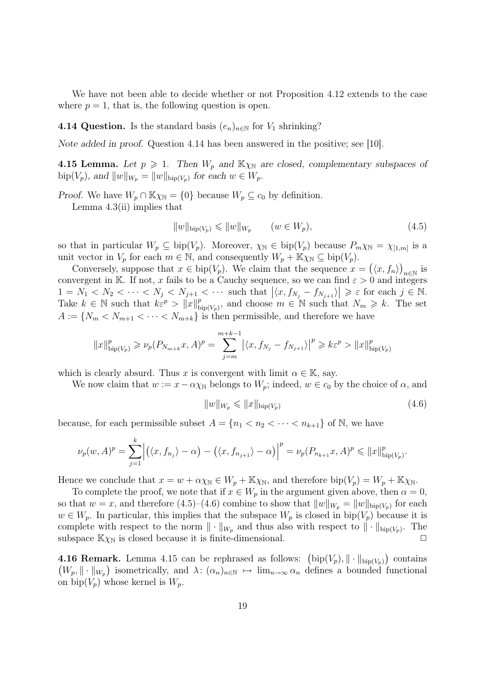We have not been able to decide whether or not Proposition 4.12 extends to the case where  $p = 1$ , that is, the following question is open.

4.14 Question. Is the standard basis  $(e_n)_{n\in\mathbb{N}}$  for  $V_1$  shrinking?

Note added in proof. Question 4.14 has been answered in the positive; see [10].

**4.15 Lemma.** Let  $p \ge 1$ . Then  $W_p$  and  $\mathbb{K}\chi_{\mathbb{N}}$  are closed, complementary subspaces of bip( $V_p$ ), and  $||w||_{W_p} = ||w||_{\text{bip}(V_p)}$  for each  $w \in W_p$ .

Proof. We have  $W_p \cap \mathbb{K}\chi_{\mathbb{N}} = \{0\}$  because  $W_p \subseteq c_0$  by definition.

Lemma 4.3(ii) implies that

$$
||w||_{\text{bip}(V_p)} \leq ||w||_{W_p} \qquad (w \in W_p), \tag{4.5}
$$

so that in particular  $W_p \subseteq \text{bip}(V_p)$ . Moreover,  $\chi_{\mathbb{N}} \in \text{bip}(V_p)$  because  $P_m \chi_{\mathbb{N}} = \chi_{[1,m]}$  is a unit vector in  $V_p$  for each  $m \in \mathbb{N}$ , and consequently  $W_p + \mathbb{K}\chi_{\mathbb{N}} \subseteq \text{bip}(V_p)$ .

Conversely, suppose that  $x \in \text{bip}(V_p)$ . We claim that the sequence  $x = (\langle x, f_n \rangle)_{n \in \mathbb{N}}$  is convergent in K. If not, x fails to be a Cauchy sequence, so we can find  $\varepsilon > 0$  and integers  $1 = N_1 < N_2 < \cdots < N_j < N_{j+1} < \cdots$  such that  $|\langle x, f_{N_j} - f_{N_{j+1}} \rangle| \geq \varepsilon$  for each  $j \in \mathbb{N}$ . Take  $k \in \mathbb{N}$  such that  $k\varepsilon^p > ||x||^p$  $b_{\text{tip}(V_p)}^p$ , and choose  $m \in \mathbb{N}$  such that  $N_m \geq k$ . The set  $A := \{N_m < N_{m+1} < \cdots < N_{m+k}\}$  is then permissible, and therefore we have

$$
||x||_{\text{bip}(V_p)}^p \ge \nu_p(P_{N_{m+k}}x, A)^p = \sum_{j=m}^{m+k-1} |\langle x, f_{N_j} - f_{N_{j+1}} \rangle|^p \ge k\varepsilon^p > ||x||_{\text{bip}(V_p)}^p
$$

which is clearly absurd. Thus x is convergent with limit  $\alpha \in \mathbb{K}$ , say.

We now claim that  $w := x - \alpha \chi_N$  belongs to  $W_p$ ; indeed,  $w \in c_0$  by the choice of  $\alpha$ , and

$$
||w||_{W_p} \leq ||x||_{\text{bip}(V_p)}\tag{4.6}
$$

because, for each permissible subset  $A = \{n_1 < n_2 < \cdots < n_{k+1}\}$  of N, we have

$$
\nu_p(w, A)^p = \sum_{j=1}^k \left| \left( \langle x, f_{n_j} \rangle - \alpha \right) - \left( \langle x, f_{n_{j+1}} \rangle - \alpha \right) \right|^p = \nu_p(P_{n_{k+1}}x, A)^p \leq \|x\|_{\text{bip}(V_p)}^p.
$$

Hence we conclude that  $x = w + \alpha \chi_{\mathbb{N}} \in W_p + \mathbb{K} \chi_{\mathbb{N}}$ , and therefore  $\text{bip}(V_p) = W_p + \mathbb{K} \chi_{\mathbb{N}}$ .

To complete the proof, we note that if  $x \in W_p$  in the argument given above, then  $\alpha = 0$ , so that  $w = x$ , and therefore (4.5)–(4.6) combine to show that  $||w||_{W_p} = ||w||_{\text{bip}(V_p)}$  for each  $w \in W_p$ . In particular, this implies that the subspace  $W_p$  is closed in bip $(V_p)$  because it is complete with respect to the norm  $\|\cdot\|_{W_p}$  and thus also with respect to  $\|\cdot\|_{\text{bip}(V_p)}$ . The subspace  $\mathbb{K}\chi_{\mathbb{N}}$  is closed because it is finite-dimensional.

**4.16 Remark.** Lemma 4.15 can be rephrased as follows:  $(\text{bip}(V_p), \|\cdot\|_{\text{bip}(V_p)})$  contains  $(W_p, \|\cdot\|_{W_p})$  isometrically, and  $\lambda: (\alpha_n)_{n\in\mathbb{N}} \mapsto \lim_{n\to\infty} \alpha_n$  defines a bounded functional on bip $(V_p)$  whose kernel is  $W_p$ .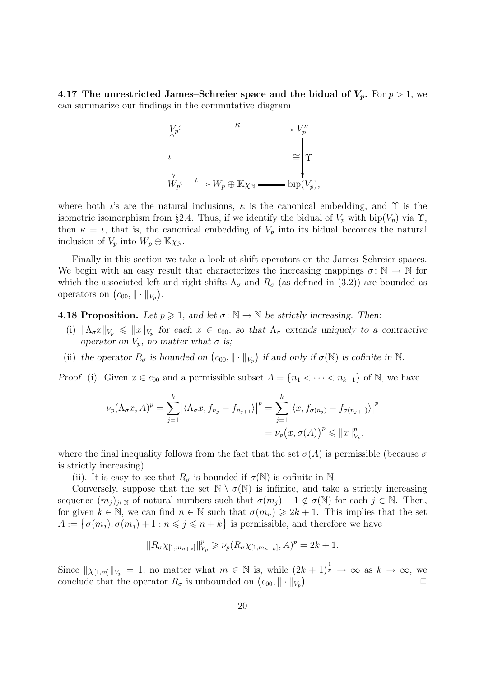4.17 The unrestricted James–Schreier space and the bidual of  $V_p$ . For  $p > 1$ , we can summarize our findings in the commutative diagram



where both  $\iota$ 's are the natural inclusions,  $\kappa$  is the canonical embedding, and  $\Upsilon$  is the isometric isomorphism from §2.4. Thus, if we identify the bidual of  $V_p$  with bip $(V_p)$  via  $\Upsilon$ , then  $\kappa = \iota$ , that is, the canonical embedding of  $V_p$  into its bidual becomes the natural inclusion of  $V_p$  into  $W_p \oplus \mathbb{K}\chi_{\mathbb{N}}$ .

Finally in this section we take a look at shift operators on the James–Schreier spaces. We begin with an easy result that characterizes the increasing mappings  $\sigma: \mathbb{N} \to \mathbb{N}$  for which the associated left and right shifts  $\Lambda_{\sigma}$  and  $R_{\sigma}$  (as defined in (3.2)) are bounded as operators on  $(c_{00}, \|\cdot\|_{V_p})$ .

**4.18 Proposition.** Let  $p \ge 1$ , and let  $\sigma : \mathbb{N} \to \mathbb{N}$  be strictly increasing. Then:

- (i)  $\|\Lambda_\sigma x\|_{V_p} \leq \|x\|_{V_p}$  for each  $x \in c_{00}$ , so that  $\Lambda_\sigma$  extends uniquely to a contractive operator on  $V_p$ , no matter what  $\sigma$  is;
- (ii) the operator  $R_{\sigma}$  is bounded on  $(c_{00}, \|\cdot\|_{V_p})$  if and only if  $\sigma(\mathbb{N})$  is cofinite in  $\mathbb{N}$ .

*Proof.* (i). Given  $x \in c_{00}$  and a permissible subset  $A = \{n_1 < \cdots < n_{k+1}\}\$  of N, we have

$$
\nu_p(\Lambda_\sigma x, A)^p = \sum_{j=1}^k \left| \langle \Lambda_\sigma x, f_{n_j} - f_{n_{j+1}} \rangle \right|^p = \sum_{j=1}^k \left| \langle x, f_{\sigma(n_j)} - f_{\sigma(n_{j+1})} \rangle \right|^p
$$

$$
= \nu_p(x, \sigma(A))^p \leq \|x\|_{V_p}^p,
$$

where the final inequality follows from the fact that the set  $\sigma(A)$  is permissible (because  $\sigma$ is strictly increasing).

(ii). It is easy to see that  $R_{\sigma}$  is bounded if  $\sigma(\mathbb{N})$  is cofinite in N.

Conversely, suppose that the set  $\mathbb{N} \setminus \sigma(\mathbb{N})$  is infinite, and take a strictly increasing sequence  $(m_i)_{i\in\mathbb{N}}$  of natural numbers such that  $\sigma(m_i)+1 \notin \sigma(\mathbb{N})$  for each  $j \in \mathbb{N}$ . Then, for given  $k \in \mathbb{N}$ , we can find  $n \in \mathbb{N}$  such that  $\sigma(m_n) \geq 2k + 1$ . This implies that the set  $A := \{ \sigma(m_j), \sigma(m_j) + 1 : n \leq j \leq n + k \}$  is permissible, and therefore we have

$$
||R_{\sigma} \chi_{[1,m_{n+k}]}||_{V_p}^p \geq \nu_p(R_{\sigma} \chi_{[1,m_{n+k}]}, A)^p = 2k+1.
$$

Since  $\|\chi_{[1,m]}\|_{V_p} = 1$ , no matter what  $m \in \mathbb{N}$  is, while  $(2k+1)^{\frac{1}{p}} \to \infty$  as  $k \to \infty$ , we conclude that the operator  $R_{\sigma}$  is unbounded on  $(c_{00}, \|\cdot\|_{V_p})$ .  $\Box$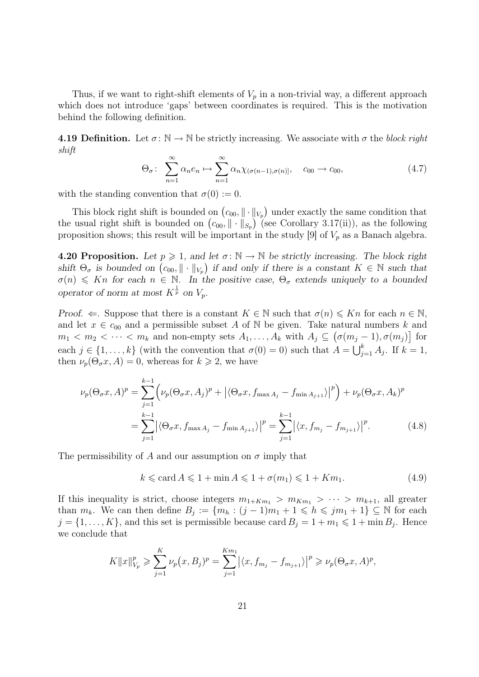Thus, if we want to right-shift elements of  $V_p$  in a non-trivial way, a different approach which does not introduce 'gaps' between coordinates is required. This is the motivation behind the following definition.

**4.19 Definition.** Let  $\sigma : \mathbb{N} \to \mathbb{N}$  be strictly increasing. We associate with  $\sigma$  the block right shift

$$
\Theta_{\sigma}: \sum_{n=1}^{\infty} \alpha_n e_n \mapsto \sum_{n=1}^{\infty} \alpha_n \chi_{(\sigma(n-1), \sigma(n))}, \quad c_{00} \to c_{00}, \tag{4.7}
$$

with the standing convention that  $\sigma(0) := 0$ .

This block right shift is bounded on  $(c_{00}, \|\cdot\|_{V_p})$  under exactly the same condition that the usual right shift is bounded on  $(c_{00}, \|\cdot\|_{S_p})$  (see Corollary 3.17(ii)), as the following proposition shows; this result will be important in the study [9] of  $V_p$  as a Banach algebra.

**4.20 Proposition.** Let  $p \ge 1$ , and let  $\sigma : \mathbb{N} \to \mathbb{N}$  be strictly increasing. The block right shift  $\Theta_{\sigma}$  is bounded on  $(c_{00}, \|\cdot\|_{V_p})$  if and only if there is a constant  $K \in \mathbb{N}$  such that  $\sigma(n) \leq K_n$  for each  $n \in \mathbb{N}$ . In the positive case,  $\Theta_{\sigma}$  extends uniquely to a bounded operator of norm at most  $K^{\frac{1}{p}}$  on  $V_p$ .

Proof.  $\Leftarrow$ . Suppose that there is a constant  $K \in \mathbb{N}$  such that  $\sigma(n) \leq Kn$  for each  $n \in \mathbb{N}$ , and let  $x \in c_{00}$  and a permissible subset A of N be given. Take natural numbers k and  $m_1 < m_2 < \cdots < m_k$  and non-empty sets  $A_1, \ldots, A_k$  with  $A_j \subseteq (\sigma(m_j-1), \sigma(m_j))$  for each  $j \in \{1, ..., k\}$  (with the convention that  $\sigma(0) = 0$ ) such that  $A = \bigcup_{j=1}^{k} A_j$ . If  $k = 1$ , then  $\nu_p(\Theta_\sigma x, A) = 0$ , whereas for  $k \geq 2$ , we have

$$
\nu_p(\Theta_{\sigma} x, A)^p = \sum_{j=1}^{k-1} \left( \nu_p(\Theta_{\sigma} x, A_j)^p + |\langle \Theta_{\sigma} x, f_{\max A_j} - f_{\min A_{j+1}} \rangle|^p \right) + \nu_p(\Theta_{\sigma} x, A_k)^p
$$
  
= 
$$
\sum_{j=1}^{k-1} |\langle \Theta_{\sigma} x, f_{\max A_j} - f_{\min A_{j+1}} \rangle|^p = \sum_{j=1}^{k-1} |\langle x, f_{m_j} - f_{m_{j+1}} \rangle|^p.
$$
 (4.8)

The permissibility of A and our assumption on  $\sigma$  imply that

$$
k \le \operatorname{card} A \le 1 + \min A \le 1 + \sigma(m_1) \le 1 + Km_1. \tag{4.9}
$$

If this inequality is strict, choose integers  $m_{1+Km_1} > m_{Km_1} > \cdots > m_{k+1}$ , all greater than  $m_k$ . We can then define  $B_j := \{m_h : (j-1)m_1 + 1 \leq h \leq jm_1 + 1\} \subseteq \mathbb{N}$  for each  $j = \{1, \ldots, K\}$ , and this set is permissible because card  $B_j = 1 + m_1 \leq 1 + \min B_j$ . Hence we conclude that

$$
K||x||_{V_p}^p \geqslant \sum_{j=1}^K \nu_p(x, B_j)^p = \sum_{j=1}^{Km_1} |\langle x, f_{m_j} - f_{m_{j+1}} \rangle|^p \geqslant \nu_p(\Theta_{\sigma} x, A)^p,
$$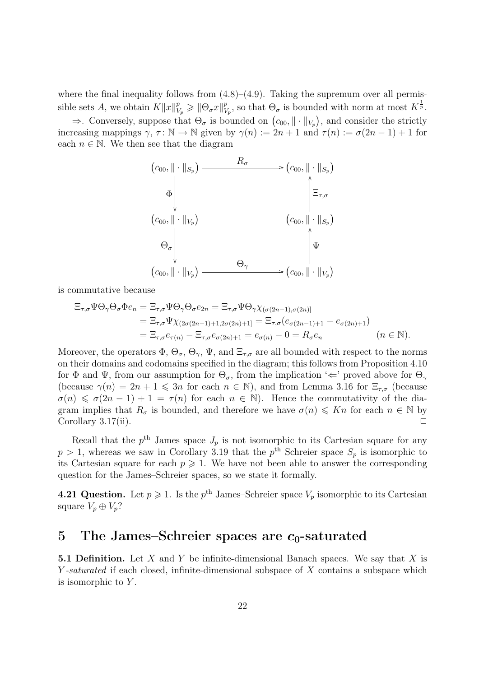where the final inequality follows from  $(4.8)$ – $(4.9)$ . Taking the supremum over all permissible sets A, we obtain  $K||x||_{V_p}^p \ge ||\Theta_{\sigma}x||_{V_p}^p$  $V_p^p$ , so that  $\Theta_{\sigma}$  is bounded with norm at most  $K^{\frac{1}{p}}$ .

 $\Rightarrow$ . Conversely, suppose that  $\Theta_{\sigma}$  is bounded on  $(c_{00}, \|\cdot\|_{V_p})$ , and consider the strictly increasing mappings  $\gamma$ ,  $\tau : \mathbb{N} \to \mathbb{N}$  given by  $\gamma(n) := 2n + 1$  and  $\tau(n) := \sigma(2n - 1) + 1$  for each  $n \in \mathbb{N}$ . We then see that the diagram

$$
(c_{00}, \|\cdot\|_{S_p}) \longrightarrow R_{\sigma} \longrightarrow (c_{00}, \|\cdot\|_{S_p})
$$
  
\n
$$
\Phi \downarrow \qquad \qquad \downarrow \qquad \qquad \downarrow
$$
  
\n
$$
(c_{00}, \|\cdot\|_{V_p}) \qquad \qquad (c_{00}, \|\cdot\|_{S_p})
$$
  
\n
$$
\Theta_{\sigma} \downarrow \qquad \qquad \downarrow \qquad \qquad \downarrow
$$
  
\n
$$
(c_{00}, \|\cdot\|_{V_p}) \longrightarrow (c_{00}, \|\cdot\|_{V_p})
$$

is commutative because

$$
\begin{split} \Xi_{\tau,\sigma}\Psi\Theta_{\gamma}\Theta_{\sigma}\Phi e_{n} &= \Xi_{\tau,\sigma}\Psi\Theta_{\gamma}\Theta_{\sigma}e_{2n} = \Xi_{\tau,\sigma}\Psi\Theta_{\gamma}\chi_{(\sigma(2n-1),\sigma(2n))} \\ &= \Xi_{\tau,\sigma}\Psi\chi_{(2\sigma(2n-1)+1,2\sigma(2n)+1)} = \Xi_{\tau,\sigma}(e_{\sigma(2n-1)+1} - e_{\sigma(2n)+1}) \\ &= \Xi_{\tau,\sigma}e_{\tau(n)} - \Xi_{\tau,\sigma}e_{\sigma(2n)+1} = e_{\sigma(n)} - 0 = R_{\sigma}e_{n} \qquad (n \in \mathbb{N}). \end{split}
$$

Moreover, the operators  $\Phi$ ,  $\Theta_{\sigma}$ ,  $\Theta_{\gamma}$ ,  $\Psi$ , and  $\Xi_{\tau,\sigma}$  are all bounded with respect to the norms on their domains and codomains specified in the diagram; this follows from Proposition 4.10 for  $\Phi$  and  $\Psi$ , from our assumption for  $\Theta_{\sigma}$ , from the implication ' $\Leftarrow$ ' proved above for  $\Theta_{\gamma}$ (because  $\gamma(n) = 2n + 1 \leq 3n$  for each  $n \in \mathbb{N}$ ), and from Lemma 3.16 for  $\Xi_{\tau,\sigma}$  (because  $\sigma(n) \leq \sigma(2n-1) + 1 = \tau(n)$  for each  $n \in \mathbb{N}$ . Hence the commutativity of the diagram implies that  $R_{\sigma}$  is bounded, and therefore we have  $\sigma(n) \leq Kn$  for each  $n \in \mathbb{N}$  by Corollary 3.17(ii).  $\Box$ 

Recall that the  $p^{\text{th}}$  James space  $J_p$  is not isomorphic to its Cartesian square for any  $p > 1$ , whereas we saw in Corollary 3.19 that the  $p<sup>th</sup>$  Schreier space  $S_p$  is isomorphic to its Cartesian square for each  $p \geq 1$ . We have not been able to answer the corresponding question for the James–Schreier spaces, so we state it formally.

**4.21 Question.** Let  $p \ge 1$ . Is the  $p^{\text{th}}$  James–Schreier space  $V_p$  isomorphic to its Cartesian square  $V_p \oplus V_p$ ?

### 5 The James–Schreier spaces are  $c_0$ -saturated

**5.1 Definition.** Let X and Y be infinite-dimensional Banach spaces. We say that X is Y-saturated if each closed, infinite-dimensional subspace of X contains a subspace which is isomorphic to  $Y$ .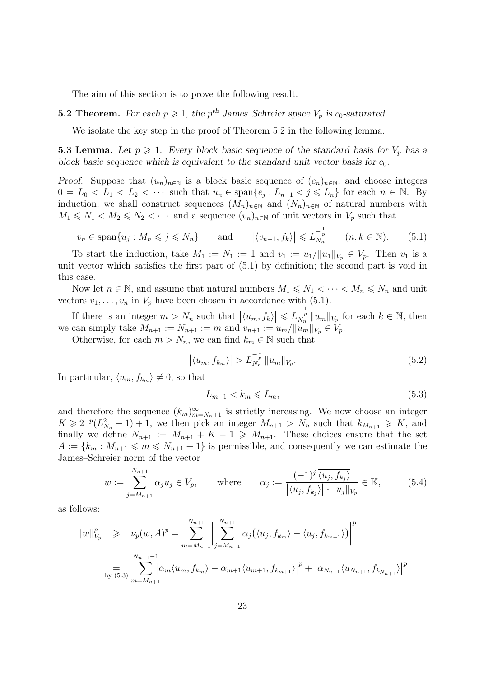The aim of this section is to prove the following result.

#### **5.2 Theorem.** For each  $p \ge 1$ , the  $p^{\text{th}}$  James–Schreier space  $V_p$  is  $c_0$ -saturated.

We isolate the key step in the proof of Theorem 5.2 in the following lemma.

**5.3 Lemma.** Let  $p \ge 1$ . Every block basic sequence of the standard basis for  $V_p$  has a block basic sequence which is equivalent to the standard unit vector basis for  $c_0$ .

*Proof.* Suppose that  $(u_n)_{n\in\mathbb{N}}$  is a block basic sequence of  $(e_n)_{n\in\mathbb{N}}$ , and choose integers  $0 = L_0 < L_1 < L_2 < \cdots$  such that  $u_n \in \text{span}\{e_j : L_{n-1} < j \leq L_n\}$  for each  $n \in \mathbb{N}$ . By induction, we shall construct sequences  $(M_n)_{n\in\mathbb{N}}$  and  $(N_n)_{n\in\mathbb{N}}$  of natural numbers with  $M_1 \leq N_1 < M_2 \leq N_2 < \cdots$  and a sequence  $(v_n)_{n \in \mathbb{N}}$  of unit vectors in  $V_p$  such that

$$
v_n \in \text{span}\{u_j : M_n \leqslant j \leqslant N_n\} \qquad \text{and} \qquad \left|\langle v_{n+1}, f_k \rangle \right| \leqslant L_{N_n}^{-\frac{1}{p}} \qquad (n, k \in \mathbb{N}).\tag{5.1}
$$

To start the induction, take  $M_1 := N_1 := 1$  and  $v_1 := u_1 / ||u_1||_{V_p} \in V_p$ . Then  $v_1$  is a unit vector which satisfies the first part of (5.1) by definition; the second part is void in this case.

Now let  $n \in \mathbb{N}$ , and assume that natural numbers  $M_1 \leq N_1 < \cdots < M_n \leq N_n$  and unit vectors  $v_1, \ldots, v_n$  in  $V_p$  have been chosen in accordance with (5.1).

If there is an integer  $m > N_n$  such that  $|(u_m, f_k)| \leqslant L_{N_n}^{-\frac{1}{p}} ||u_m||_{V_p}$  for each  $k \in \mathbb{N}$ , then we can simply take  $M_{n+1} := N_{n+1} := m$  and  $v_{n+1} := u_m / ||u_m||_{V_p} \in V_p$ .

Otherwise, for each  $m > N_n$ , we can find  $k_m \in \mathbb{N}$  such that

$$
\left| \langle u_m, f_{k_m} \rangle \right| > L_{N_n}^{-\frac{1}{p}} \| u_m \|_{V_p}.
$$
 (5.2)

In particular,  $\langle u_m, f_{k_m} \rangle \neq 0$ , so that

$$
L_{m-1} < k_m \leqslant L_m,\tag{5.3}
$$

and therefore the sequence  $(k_m)_{m=N_n+1}^{\infty}$  is strictly increasing. We now choose an integer  $K \geq 2^{-p}(L_{N_n}^2 - 1) + 1$ , we then pick an integer  $M_{n+1} > N_n$  such that  $k_{M_{n+1}} \geq K$ , and finally we define  $N_{n+1} := M_{n+1} + K - 1 \geq M_{n+1}$ . These choices ensure that the set  $A := \{k_m : M_{n+1} \leqslant m \leqslant N_{n+1} + 1\}$  is permissible, and consequently we can estimate the James–Schreier norm of the vector

$$
w := \sum_{j=M_{n+1}}^{N_{n+1}} \alpha_j u_j \in V_p, \qquad \text{where} \qquad \alpha_j := \frac{(-1)^j \overline{\langle u_j, f_{k_j} \rangle}}{|\langle u_j, f_{k_j} \rangle| \cdot \| u_j \|_{V_p}} \in \mathbb{K}, \qquad (5.4)
$$

as follows:

$$
||w||_{V_p}^p \ge \nu_p(w, A)^p = \sum_{m=M_{n+1}}^{N_{n+1}} \left| \sum_{j=M_{n+1}}^{N_{n+1}} \alpha_j(\langle u_j, f_{k_m} \rangle - \langle u_j, f_{k_{m+1}} \rangle) \right|^p
$$
  
= 
$$
\sum_{\substack{N_{n+1}-1 \ \text{by (5.3)}}}^{N_{n+1}-1} \left| \alpha_m \langle u_m, f_{k_m} \rangle - \alpha_{m+1} \langle u_{m+1}, f_{k_{m+1}} \rangle \right|^p + \left| \alpha_{N_{n+1}} \langle u_{N_{n+1}}, f_{k_{N_{n+1}}} \rangle \right|^p
$$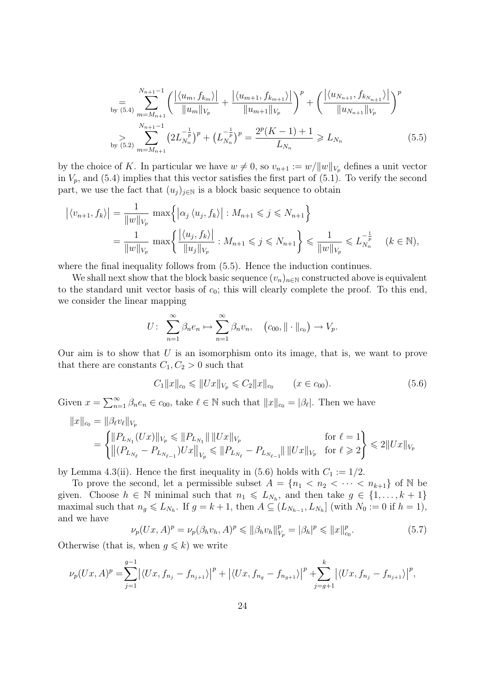$$
\sum_{\substack{\text{by (5.4)}}} \frac{N_{n+1}-1}{m=M_{n+1}} \left( \frac{|\langle u_m, f_{k_m} \rangle|}{\|u_m\|_{V_p}} + \frac{|\langle u_{m+1}, f_{k_{m+1}} \rangle|}{\|u_{m+1}\|_{V_p}} \right)^p + \left( \frac{|\langle u_{N_{n+1}}, f_{k_{N_{n+1}}} \rangle|}{\|u_{N_{n+1}}\|_{V_p}} \right)^p
$$
\n
$$
\sum_{\substack{\text{by (5.2)}}} \sum_{m=M_{n+1}}^{N_{n+1}-1} \left( 2L_{N_n}^{-\frac{1}{p}} \right)^p + \left( L_{N_n}^{-\frac{1}{p}} \right)^p = \frac{2^p (K-1) + 1}{L_{N_n}} \ge L_{N_n} \tag{5.5}
$$

by the choice of K. In particular we have  $w \neq 0$ , so  $v_{n+1} := w/||w||_{V_p}$  defines a unit vector in  $V_p$ , and (5.4) implies that this vector satisfies the first part of (5.1). To verify the second part, we use the fact that  $(u_j)_{j\in\mathbb{N}}$  is a block basic sequence to obtain

$$
\begin{aligned} \left| \langle v_{n+1}, f_k \rangle \right| &= \frac{1}{\|w\|_{V_p}} \, \max \left\{ \left| \alpha_j \langle u_j, f_k \rangle \right| : M_{n+1} \leqslant j \leqslant N_{n+1} \right\} \\ &= \frac{1}{\|w\|_{V_p}} \, \max \left\{ \frac{\left| \langle u_j, f_k \rangle \right|}{\|u_j\|_{V_p}} : M_{n+1} \leqslant j \leqslant N_{n+1} \right\} \leqslant \frac{1}{\|w\|_{V_p}} \leqslant L_{N_n}^{-\frac{1}{p}} \quad (k \in \mathbb{N}), \end{aligned}
$$

where the final inequality follows from  $(5.5)$ . Hence the induction continues.

We shall next show that the block basic sequence  $(v_n)_{n\in\mathbb{N}}$  constructed above is equivalent to the standard unit vector basis of  $c_0$ ; this will clearly complete the proof. To this end, we consider the linear mapping

$$
U: \sum_{n=1}^{\infty} \beta_n e_n \mapsto \sum_{n=1}^{\infty} \beta_n v_n, \quad (c_{00}, \|\cdot\|_{c_0}) \to V_p.
$$

Our aim is to show that  $U$  is an isomorphism onto its image, that is, we want to prove that there are constants  $C_1, C_2 > 0$  such that

$$
C_1 ||x||_{c_0} \le ||Ux||_{V_p} \le C_2 ||x||_{c_0} \qquad (x \in c_{00}).
$$
\n(5.6)

Given  $x = \sum_{n=1}^{\infty} \beta_n e_n \in c_{00}$ , take  $\ell \in \mathbb{N}$  such that  $||x||_{c_0} = |\beta_{\ell}|$ . Then we have

$$
||x||_{c_0} = ||\beta_{\ell}v_{\ell}||_{V_p}
$$
  
= 
$$
\begin{cases} ||P_{L_{N_1}}(Ux)||_{V_p} \le ||P_{L_{N_1}}|| \, ||Ux||_{V_p} & \text{for } \ell = 1 \\ ||(P_{L_{N_\ell}} - P_{L_{N_{\ell-1}}})Ux||_{V_p} \le ||P_{L_{N_\ell}} - P_{L_{N_{\ell-1}}}|| \, ||Ux||_{V_p} & \text{for } \ell \ge 2 \end{cases} \le 2||Ux||_{V_p}
$$

by Lemma 4.3(ii). Hence the first inequality in (5.6) holds with  $C_1 := 1/2$ .

To prove the second, let a permissible subset  $A = \{n_1 < n_2 < \cdots < n_{k+1}\}\$  of N be given. Choose  $h \in \mathbb{N}$  minimal such that  $n_1 \leqslant L_{N_h}$ , and then take  $g \in \{1, \ldots, k+1\}$ maximal such that  $n_g \leqslant L_{N_h}$ . If  $g = k + 1$ , then  $A \subseteq (L_{N_{h-1}}, L_{N_h}]$  (with  $N_0 := 0$  if  $h = 1$ ), and we have

$$
\nu_p(Ux, A)^p = \nu_p(\beta_h v_h, A)^p \le ||\beta_h v_h||_{V_p}^p = |\beta_h|^p \le ||x||_{c_0}^p.
$$
\n(5.7)

Otherwise (that is, when  $g \leq k$ ) we write

$$
\nu_p(Ux,A)^p = \sum_{j=1}^{g-1} \left| \left\langle Ux, f_{n_j} - f_{n_{j+1}} \right\rangle \right|^p + \left| \left\langle Ux, f_{n_g} - f_{n_{g+1}} \right\rangle \right|^p + \sum_{j=g+1}^k \left| \left\langle Ux, f_{n_j} - f_{n_{j+1}} \right\rangle \right|^p,
$$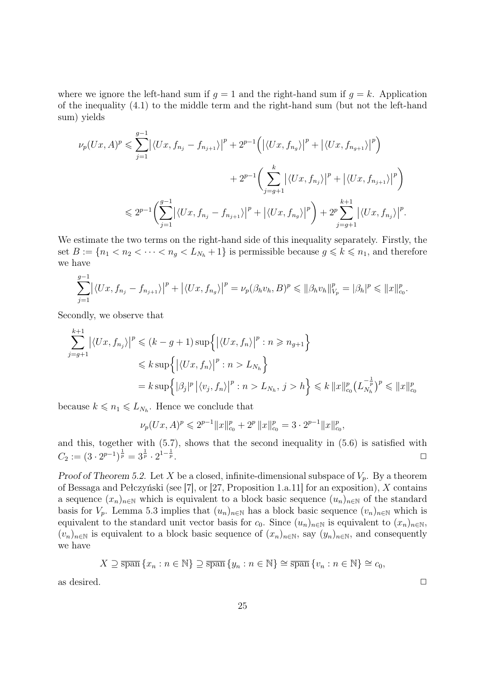where we ignore the left-hand sum if  $q = 1$  and the right-hand sum if  $q = k$ . Application of the inequality (4.1) to the middle term and the right-hand sum (but not the left-hand sum) yields

$$
\nu_p(Ux, A)^p \leq \sum_{j=1}^{g-1} \left| \langle Ux, f_{n_j} - f_{n_{j+1}} \rangle \right|^p + 2^{p-1} \left( \left| \langle Ux, f_{n_g} \rangle \right|^p + \left| \langle Ux, f_{n_{g+1}} \rangle \right|^p \right) \n+ 2^{p-1} \left( \sum_{j=g+1}^k \left| \langle Ux, f_{n_j} \rangle \right|^p + \left| \langle Ux, f_{n_{j+1}} \rangle \right|^p \right) \n\leq 2^{p-1} \left( \sum_{j=1}^{g-1} \left| \langle Ux, f_{n_j} - f_{n_{j+1}} \rangle \right|^p + \left| \langle Ux, f_{n_g} \rangle \right|^p \right) + 2^p \sum_{j=g+1}^{k+1} \left| \langle Ux, f_{n_j} \rangle \right|^p.
$$

We estimate the two terms on the right-hand side of this inequality separately. Firstly, the set  $B := \{n_1 < n_2 < \cdots < n_g < L_{N_h} + 1\}$  is permissible because  $g \leq k \leq n_1$ , and therefore we have

$$
\sum_{j=1}^{g-1} |\langle Ux, f_{n_j} - f_{n_{j+1}} \rangle|^p + |\langle Ux, f_{n_g} \rangle|^p = \nu_p(\beta_h v_h, B)^p \leq \|\beta_h v_h\|_{V_p}^p = |\beta_h|^p \leq \|x\|_{c_0}^p.
$$

Secondly, we observe that

$$
\sum_{j=g+1}^{k+1} |\langle Ux, f_{n_j} \rangle|^p \le (k - g + 1) \sup \{ |\langle Ux, f_n \rangle|^p : n \ge n_{g+1} \}
$$
  

$$
\le k \sup \{ |\langle Ux, f_n \rangle|^p : n > L_{N_h} \}
$$
  

$$
= k \sup \{ |\beta_j|^p | \langle v_j, f_n \rangle|^p : n > L_{N_h}, j > h \} \le k ||x||_{c_0}^p (L_{N_h}^{-\frac{1}{p}})^p \le ||x||_{c_0}^p
$$

because  $k \leq n_1 \leq L_{N_h}$ . Hence we conclude that

$$
\nu_p(Ux,A)^p\leqslant 2^{p-1}\|x\|_{c_0}^p+2^p\,\|x\|_{c_0}^p=3\cdot 2^{p-1}\|x\|_{c_0}^p,
$$

and this, together with (5.7), shows that the second inequality in (5.6) is satisfied with  $C_2 := (3 \cdot 2^{p-1})^{\frac{1}{p}} = 3^{\frac{1}{p}} \cdot 2^{1-\frac{1}{p}}$  $\bar{p}$  .

Proof of Theorem 5.2. Let X be a closed, infinite-dimensional subspace of  $V_p$ . By a theorem of Bessaga and Pełczyński (see [7], or [27, Proposition 1.a.11] for an exposition), X contains a sequence  $(x_n)_{n\in\mathbb{N}}$  which is equivalent to a block basic sequence  $(u_n)_{n\in\mathbb{N}}$  of the standard basis for  $V_p$ . Lemma 5.3 implies that  $(u_n)_{n\in\mathbb{N}}$  has a block basic sequence  $(v_n)_{n\in\mathbb{N}}$  which is equivalent to the standard unit vector basis for  $c_0$ . Since  $(u_n)_{n\in\mathbb{N}}$  is equivalent to  $(x_n)_{n\in\mathbb{N}}$ ,  $(v_n)_{n\in\mathbb{N}}$  is equivalent to a block basic sequence of  $(x_n)_{n\in\mathbb{N}}$ , say  $(y_n)_{n\in\mathbb{N}}$ , and consequently we have

$$
X \supseteq \overline{\operatorname{span}} \{x_n : n \in \mathbb{N}\} \supseteq \overline{\operatorname{span}} \{y_n : n \in \mathbb{N}\} \cong \overline{\operatorname{span}} \{v_n : n \in \mathbb{N}\} \cong c_0,
$$

as desired.  $\Box$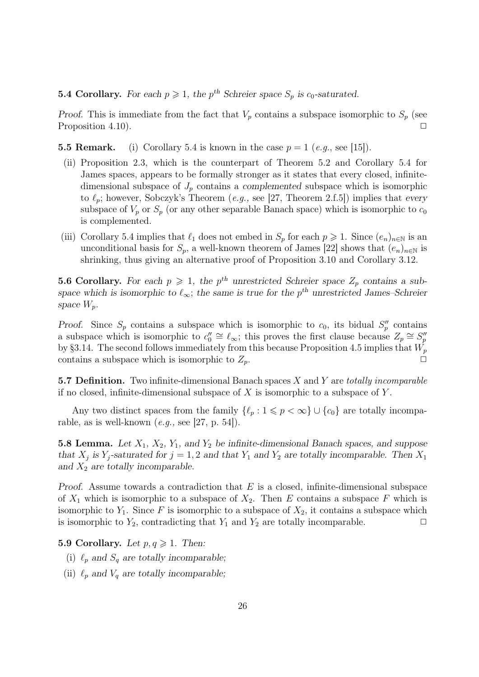#### **5.4 Corollary.** For each  $p \ge 1$ , the  $p^{th}$  Schreier space  $S_p$  is  $c_0$ -saturated.

Proof. This is immediate from the fact that  $V_p$  contains a subspace isomorphic to  $S_p$  (see Proposition 4.10).  $\Box$ 

**5.5 Remark.** (i) Corollary 5.4 is known in the case  $p = 1$  (e.g., see [15]).

- (ii) Proposition 2.3, which is the counterpart of Theorem 5.2 and Corollary 5.4 for James spaces, appears to be formally stronger as it states that every closed, infinitedimensional subspace of  $J_p$  contains a complemented subspace which is isomorphic to  $\ell_p$ ; however, Sobczyk's Theorem (*e.g.*, see [27, Theorem 2.f.5]) implies that every subspace of  $V_p$  or  $S_p$  (or any other separable Banach space) which is isomorphic to  $c_0$ is complemented.
- (iii) Corollary 5.4 implies that  $\ell_1$  does not embed in  $S_p$  for each  $p \geq 1$ . Since  $(e_n)_{n\in\mathbb{N}}$  is an unconditional basis for  $S_p$ , a well-known theorem of James [22] shows that  $(e_n)_{n\in\mathbb{N}}$  is shrinking, thus giving an alternative proof of Proposition 3.10 and Corollary 3.12.

**5.6 Corollary.** For each  $p \ge 1$ , the  $p^{th}$  unrestricted Schreier space  $Z_p$  contains a subspace which is isomorphic to  $\ell_{\infty}$ ; the same is true for the p<sup>th</sup> unrestricted James–Schreier space  $W_p$ .

Proof. Since  $S_p$  contains a subspace which is isomorphic to  $c_0$ , its bidual  $S_p''$  contains a subspace which is isomorphic to  $c''_0 \cong \ell_\infty$ ; this proves the first clause because  $Z_p \cong S''_p$ by §3.14. The second follows immediately from this because Proposition 4.5 implies that  $W_p$ contains a subspace which is isomorphic to  $Z_p$ .

5.7 Definition. Two infinite-dimensional Banach spaces  $X$  and  $Y$  are totally incomparable if no closed, infinite-dimensional subspace of  $X$  is isomorphic to a subspace of  $Y$ .

Any two distinct spaces from the family  $\{\ell_p : 1 \leq p < \infty\} \cup \{c_0\}$  are totally incomparable, as is well-known  $(e.g., \text{see } [27, p. 54]).$ 

5.8 Lemma. Let  $X_1, X_2, Y_1,$  and  $Y_2$  be infinite-dimensional Banach spaces, and suppose that  $X_j$  is  $Y_j$ -saturated for  $j = 1, 2$  and that  $Y_1$  and  $Y_2$  are totally incomparable. Then  $X_1$ and  $X_2$  are totally incomparable.

Proof. Assume towards a contradiction that  $E$  is a closed, infinite-dimensional subspace of  $X_1$  which is isomorphic to a subspace of  $X_2$ . Then E contains a subspace F which is isomorphic to  $Y_1$ . Since F is isomorphic to a subspace of  $X_2$ , it contains a subspace which is isomorphic to  $Y_2$ , contradicting that  $Y_1$  and  $Y_2$  are totally incomparable.  $\Box$ 

5.9 Corollary. Let  $p, q \geq 1$ . Then:

- (i)  $\ell_p$  and  $S_q$  are totally incomparable;
- (ii)  $\ell_p$  and  $V_q$  are totally incomparable;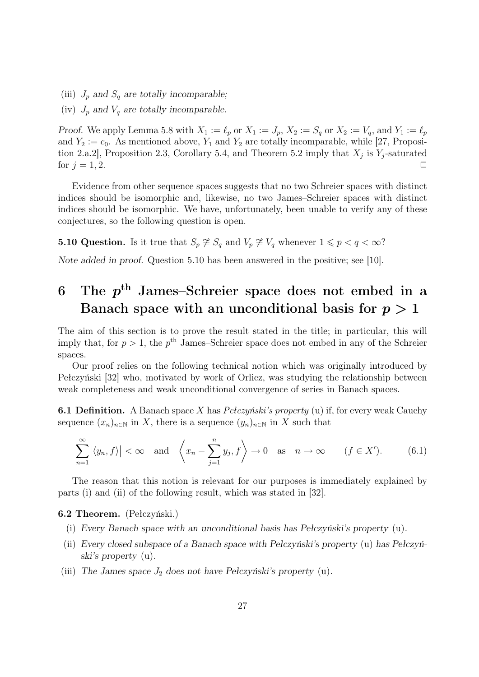- (iii)  $J_p$  and  $S_q$  are totally incomparable;
- (iv)  $J_p$  and  $V_q$  are totally incomparable.

Proof. We apply Lemma 5.8 with  $X_1 := \ell_p$  or  $X_1 := J_p$ ,  $X_2 := S_q$  or  $X_2 := V_q$ , and  $Y_1 := \ell_p$ and  $Y_2 := c_0$ . As mentioned above,  $Y_1$  and  $Y_2$  are totally incomparable, while [27, Proposition 2.a.2], Proposition 2.3, Corollary 5.4, and Theorem 5.2 imply that  $X_j$  is  $Y_j$ -saturated for  $j = 1, 2$ .

Evidence from other sequence spaces suggests that no two Schreier spaces with distinct indices should be isomorphic and, likewise, no two James–Schreier spaces with distinct indices should be isomorphic. We have, unfortunately, been unable to verify any of these conjectures, so the following question is open.

**5.10 Question.** Is it true that  $S_p \not\cong S_q$  and  $V_p \not\cong V_q$  whenever  $1 \leq p < q < \infty$ ?

Note added in proof. Question 5.10 has been answered in the positive; see [10].

## 6 The  $p^{\text{th}}$  James–Schreier space does not embed in a Banach space with an unconditional basis for  $p > 1$

The aim of this section is to prove the result stated in the title; in particular, this will imply that, for  $p > 1$ , the  $p<sup>th</sup>$  James–Schreier space does not embed in any of the Schreier spaces.

Our proof relies on the following technical notion which was originally introduced by Pełczyński [32] who, motivated by work of Orlicz, was studying the relationship between weak completeness and weak unconditional convergence of series in Banach spaces.

**6.1 Definition.** A Banach space X has *Pełczyński's property* (u) if, for every weak Cauchy sequence  $(x_n)_{n\in\mathbb{N}}$  in X, there is a sequence  $(y_n)_{n\in\mathbb{N}}$  in X such that

$$
\sum_{n=1}^{\infty} |\langle y_n, f \rangle| < \infty \quad \text{and} \quad \left\langle x_n - \sum_{j=1}^n y_j, f \right\rangle \to 0 \quad \text{as} \quad n \to \infty \qquad (f \in X'). \tag{6.1}
$$

The reason that this notion is relevant for our purposes is immediately explained by parts (i) and (ii) of the following result, which was stated in [32].

#### 6.2 Theorem. (Pełczyński.)

- (i) Every Banach space with an unconditional basis has Pełczyński's property (u).
- (ii) Every closed subspace of a Banach space with Pełczyński's property (u) has Pełczyński's property (u).
- (iii) The James space  $J_2$  does not have Pełczyński's property (u).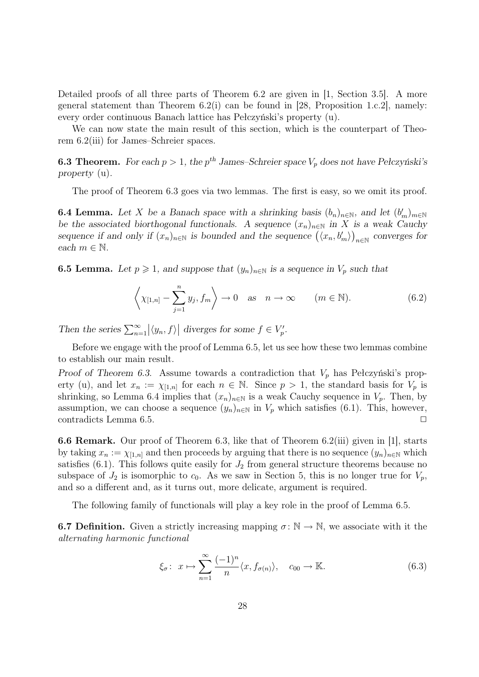Detailed proofs of all three parts of Theorem 6.2 are given in [1, Section 3.5]. A more general statement than Theorem  $6.2(i)$  can be found in [28, Proposition 1.c.2], namely: every order continuous Banach lattice has Pełczyński's property (u).

We can now state the main result of this section, which is the counterpart of Theorem 6.2(iii) for James–Schreier spaces.

**6.3 Theorem.** For each  $p > 1$ , the  $p^{th}$  James–Schreier space  $V_p$  does not have Pełczyński's property (u).

The proof of Theorem 6.3 goes via two lemmas. The first is easy, so we omit its proof.

**6.4 Lemma.** Let X be a Banach space with a shrinking basis  $(b_n)_{n\in\mathbb{N}}$ , and let  $(b'_m)_{m\in\mathbb{N}}$ be the associated biorthogonal functionals. A sequence  $(x_n)_{n\in\mathbb{N}}$  in X is a weak Cauchy sequence if and only if  $(x_n)_{n\in\mathbb{N}}$  is bounded and the sequence  $(\langle x_n, b'_m \rangle)_{n\in\mathbb{N}}$  converges for each  $m \in \mathbb{N}$ .

**6.5 Lemma.** Let  $p \ge 1$ , and suppose that  $(y_n)_{n \in \mathbb{N}}$  is a sequence in  $V_p$  such that

$$
\left\langle \chi_{[1,n]} - \sum_{j=1}^{n} y_j, f_m \right\rangle \to 0 \quad \text{as} \quad n \to \infty \qquad (m \in \mathbb{N}). \tag{6.2}
$$

Then the series  $\sum_{n=1}^{\infty} |\langle y_n, f \rangle|$  diverges for some  $f \in V_p'$ .

Before we engage with the proof of Lemma 6.5, let us see how these two lemmas combine to establish our main result.

Proof of Theorem 6.3. Assume towards a contradiction that  $V_p$  has Pełczyński's property (u), and let  $x_n := \chi_{[1,n]}$  for each  $n \in \mathbb{N}$ . Since  $p > 1$ , the standard basis for  $V_p$  is shrinking, so Lemma 6.4 implies that  $(x_n)_{n\in\mathbb{N}}$  is a weak Cauchy sequence in  $V_p$ . Then, by assumption, we can choose a sequence  $(y_n)_{n\in\mathbb{N}}$  in  $V_p$  which satisfies (6.1). This, however, contradicts Lemma 6.5.  $\Box$ 

6.6 Remark. Our proof of Theorem 6.3, like that of Theorem 6.2(iii) given in [1], starts by taking  $x_n := \chi_{[1,n]}$  and then proceeds by arguing that there is no sequence  $(y_n)_{n\in\mathbb{N}}$  which satisfies  $(6.1)$ . This follows quite easily for  $J_2$  from general structure theorems because no subspace of  $J_2$  is isomorphic to  $c_0$ . As we saw in Section 5, this is no longer true for  $V_p$ , and so a different and, as it turns out, more delicate, argument is required.

The following family of functionals will play a key role in the proof of Lemma 6.5.

**6.7 Definition.** Given a strictly increasing mapping  $\sigma : \mathbb{N} \to \mathbb{N}$ , we associate with it the alternating harmonic functional

$$
\xi_{\sigma}: x \mapsto \sum_{n=1}^{\infty} \frac{(-1)^n}{n} \langle x, f_{\sigma(n)} \rangle, \quad c_{00} \to \mathbb{K}.
$$
 (6.3)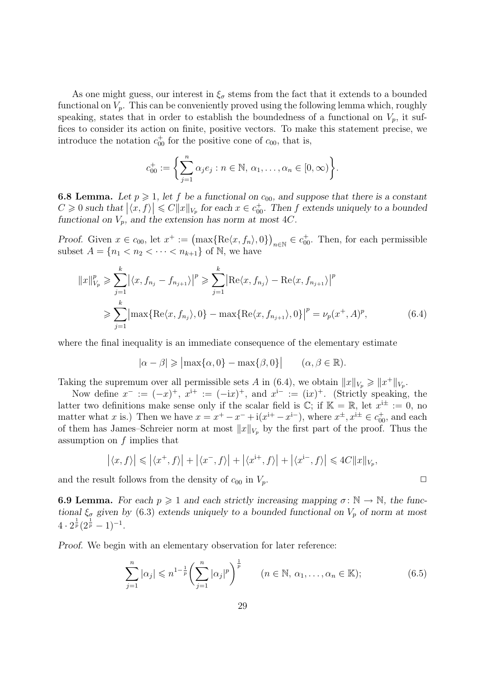As one might guess, our interest in  $\xi_{\sigma}$  stems from the fact that it extends to a bounded functional on  $V_p$ . This can be conveniently proved using the following lemma which, roughly speaking, states that in order to establish the boundedness of a functional on  $V_p$ , it suffices to consider its action on finite, positive vectors. To make this statement precise, we introduce the notation  $c_{00}^+$  for the positive cone of  $c_{00}$ , that is,

$$
c_{00}^+ := \bigg\{\sum_{j=1}^n \alpha_j e_j : n \in \mathbb{N}, \, \alpha_1, \dots, \alpha_n \in [0, \infty)\bigg\}.
$$

**6.8 Lemma.** Let  $p \ge 1$ , let f be a functional on  $c_{00}$ , and suppose that there is a constant  $C \geq 0$  such that  $|\langle x, f \rangle| \leq C ||x||_{V_p}$  for each  $x \in c_{00}^+$ . Then f extends uniquely to a bounded functional on  $V_p$ , and the extension has norm at most 4C.

Proof. Given  $x \in c_{00}$ , let  $x^+ := (\max\{ \text{Re}\langle x, f_n \rangle, 0 \})_{n \in \mathbb{N}} \in c_{00}^+$ . Then, for each permissible subset  $A = \{n_1 < n_2 < \cdots < n_{k+1}\}$  of  $\mathbb N$ , we have

$$
||x||_{V_p}^p \ge \sum_{j=1}^k |\langle x, f_{n_j} - f_{n_{j+1}} \rangle|^p \ge \sum_{j=1}^k |\text{Re}\langle x, f_{n_j} \rangle - \text{Re}\langle x, f_{n_{j+1}} \rangle|^p
$$
  

$$
\ge \sum_{j=1}^k |\max\{\text{Re}\langle x, f_{n_j} \rangle, 0\} - \max\{\text{Re}\langle x, f_{n_{j+1}} \rangle, 0\}|^p = \nu_p(x^+, A)^p,
$$
 (6.4)

where the final inequality is an immediate consequence of the elementary estimate

$$
|\alpha - \beta| \ge |\max\{\alpha, 0\} - \max\{\beta, 0\}| \qquad (\alpha, \beta \in \mathbb{R}).
$$

Taking the supremum over all permissible sets A in (6.4), we obtain  $||x||_{V_p} \ge ||x^+||_{V_p}$ .

Now define  $x^- := (-x)^+$ ,  $x^{i+} := (-ix)^+$ , and  $x^{i-} := (ix)^+$ . (Strictly speaking, the latter two definitions make sense only if the scalar field is  $\mathbb{C}$ ; if  $\mathbb{K} = \mathbb{R}$ , let  $x^{i\pm} := 0$ , no matter what x is.) Then we have  $x = x^+ - x^- + i(x^{i+} - x^{i-})$ , where  $x^{\pm}, x^{i\pm} \in c_{00}^{\dagger}$ , and each of them has James–Schreier norm at most  $||x||_{V_p}$  by the first part of the proof. Thus the assumption on  $f$  implies that

$$
\left| \langle x, f \rangle \right| \leqslant \left| \langle x^+, f \rangle \right| + \left| \langle x^-, f \rangle \right| + \left| \langle x^{i+}, f \rangle \right| + \left| \langle x^{i-}, f \rangle \right| \leqslant 4C \|x\|_{V_p},
$$

and the result follows from the density of  $c_{00}$  in  $V_p$ .

**6.9 Lemma.** For each  $p \ge 1$  and each strictly increasing mapping  $\sigma : \mathbb{N} \to \mathbb{N}$ , the functional  $\xi_{\sigma}$  given by (6.3) extends uniquely to a bounded functional on  $V_p$  of norm at most  $4 \cdot 2^{\frac{1}{p}} (2^{\frac{1}{p}} - 1)^{-1}.$ 

Proof. We begin with an elementary observation for later reference:

$$
\sum_{j=1}^{n} |\alpha_j| \leq n^{1-\frac{1}{p}} \left( \sum_{j=1}^{n} |\alpha_j|^p \right)^{\frac{1}{p}} \qquad (n \in \mathbb{N}, \, \alpha_1, \dots, \alpha_n \in \mathbb{K});
$$
 (6.5)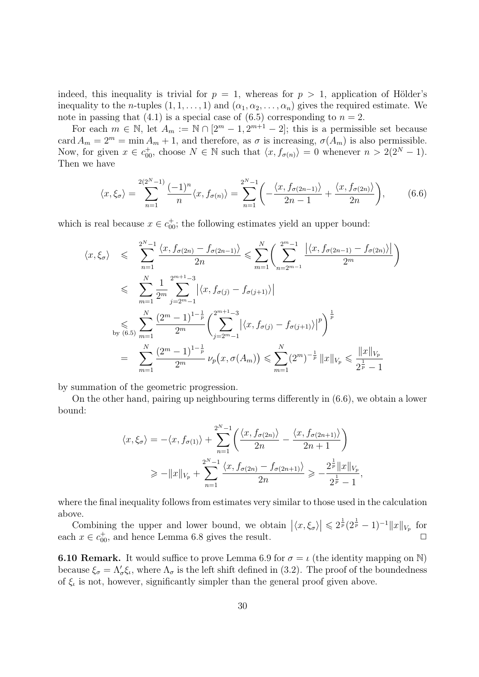indeed, this inequality is trivial for  $p = 1$ , whereas for  $p > 1$ , application of Hölder's inequality to the *n*-tuples  $(1, 1, \ldots, 1)$  and  $(\alpha_1, \alpha_2, \ldots, \alpha_n)$  gives the required estimate. We note in passing that (4.1) is a special case of  $(6.5)$  corresponding to  $n = 2$ .

For each  $m \in \mathbb{N}$ , let  $A_m := \mathbb{N} \cap [2^m - 1, 2^{m+1} - 2]$ ; this is a permissible set because card  $A_m = 2^m = \min A_m + 1$ , and therefore, as  $\sigma$  is increasing,  $\sigma(A_m)$  is also permissible. Now, for given  $x \in c_{00}^+$ , choose  $N \in \mathbb{N}$  such that  $\langle x, f_{\sigma(n)} \rangle = 0$  whenever  $n > 2(2^N - 1)$ . Then we have

$$
\langle x, \xi_{\sigma} \rangle = \sum_{n=1}^{2(2^N - 1)} \frac{(-1)^n}{n} \langle x, f_{\sigma(n)} \rangle = \sum_{n=1}^{2^N - 1} \left( -\frac{\langle x, f_{\sigma(2n-1)} \rangle}{2n - 1} + \frac{\langle x, f_{\sigma(2n)} \rangle}{2n} \right), \tag{6.6}
$$

which is real because  $x \in c_{00}^+$ ; the following estimates yield an upper bound:

$$
\langle x, \xi_{\sigma} \rangle \leqslant \sum_{n=1}^{2^{N}-1} \frac{\langle x, f_{\sigma(2n)} - f_{\sigma(2n-1)} \rangle}{2n} \leqslant \sum_{m=1}^{N} \left( \sum_{n=2^{m}-1}^{2^{m}-1} \frac{\left| \langle x, f_{\sigma(2n-1)} - f_{\sigma(2n)} \rangle \right|}{2^{m}} \right)
$$
  

$$
\leqslant \sum_{m=1}^{N} \frac{1}{2^{m}} \sum_{j=2^{m}-1}^{2^{m+1}-3} \left| \langle x, f_{\sigma(j)} - f_{\sigma(j+1)} \rangle \right|
$$
  

$$
\leqslant \sum_{m=1}^{N} \frac{(2^{m}-1)^{1-\frac{1}{p}}}{2^{m}} \left( \sum_{j=2^{m}-1}^{2^{m+1}-3} \left| \langle x, f_{\sigma(j)} - f_{\sigma(j+1)} \rangle \right|^{p} \right)^{\frac{1}{p}}
$$
  

$$
= \sum_{m=1}^{N} \frac{(2^{m}-1)^{1-\frac{1}{p}}}{2^{m}} \nu_{p}(x, \sigma(A_{m})) \leqslant \sum_{m=1}^{N} (2^{m})^{-\frac{1}{p}} \|x\|_{V_{p}} \leqslant \frac{\|x\|_{V_{p}}}{2^{\frac{1}{p}}-1}
$$

by summation of the geometric progression.

On the other hand, pairing up neighbouring terms differently in (6.6), we obtain a lower bound:

$$
\langle x, \xi_{\sigma} \rangle = -\langle x, f_{\sigma(1)} \rangle + \sum_{n=1}^{2^N - 1} \left( \frac{\langle x, f_{\sigma(2n)} \rangle}{2n} - \frac{\langle x, f_{\sigma(2n+1)} \rangle}{2n+1} \right)
$$
  
\n
$$
\ge -\|x\|_{V_p} + \sum_{n=1}^{2^N - 1} \frac{\langle x, f_{\sigma(2n)} - f_{\sigma(2n+1)} \rangle}{2n} \ge -\frac{2^{\frac{1}{p}} \|x\|_{V_p}}{2^{\frac{1}{p}} - 1},
$$

where the final inequality follows from estimates very similar to those used in the calculation above.

Combining the upper and lower bound, we obtain  $|\langle x, \xi_\sigma \rangle| \leq 2^{\frac{1}{p}} (2^{\frac{1}{p}} - 1)^{-1} ||x||_{V_p}$  for each  $x \in c_{00}^+$ , and hence Lemma 6.8 gives the result.  $\Box$ 

**6.10 Remark.** It would suffice to prove Lemma 6.9 for  $\sigma = \iota$  (the identity mapping on N) because  $\xi_{\sigma} = \Lambda'_{\sigma} \xi_{\iota}$ , where  $\Lambda_{\sigma}$  is the left shift defined in (3.2). The proof of the boundedness of  $\xi$ , is not, however, significantly simpler than the general proof given above.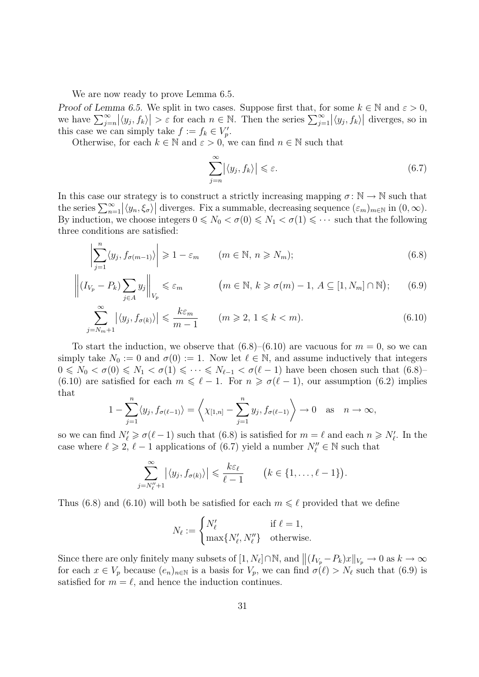We are now ready to prove Lemma  $6.5$ .

Proof of Lemma 6.5. We split in two cases. Suppose first that, for some  $k \in \mathbb{N}$  and  $\varepsilon > 0$ , we have  $\sum_{j=n}^{\infty} |\langle y_j, f_k \rangle| > \varepsilon$  for each  $n \in \mathbb{N}$ . Then the series  $\sum_{j=1}^{\infty} |\langle y_j, f_k \rangle|$  diverges, so in this case we can simply take  $f := f_k \in V'_p$ .

Otherwise, for each  $k \in \mathbb{N}$  and  $\varepsilon > 0$ , we can find  $n \in \mathbb{N}$  such that

$$
\sum_{j=n}^{\infty} |\langle y_j, f_k \rangle| \le \varepsilon. \tag{6.7}
$$

In this case our strategy is to construct a strictly increasing mapping  $\sigma \colon \mathbb{N} \to \mathbb{N}$  such that the series  $\sum_{n=1}^{\infty} |\langle y_n, \xi_\sigma \rangle|$  diverges. Fix a summable, decreasing sequence  $(\varepsilon_m)_{m \in \mathbb{N}}$  in  $(0, \infty)$ . By induction, we choose integers  $0 \le N_0 < \sigma(0) \le N_1 < \sigma(1) \le \cdots$  such that the following three conditions are satisfied:

$$
\left| \sum_{j=1}^{n} \langle y_j, f_{\sigma(m-1)} \rangle \right| \geqslant 1 - \varepsilon_m \qquad (m \in \mathbb{N}, n \geqslant N_m); \tag{6.8}
$$

$$
\left\| (I_{V_p} - P_k) \sum_{j \in A} y_j \right\|_{V_p} \leq \varepsilon_m \qquad (m \in \mathbb{N}, k \geq \sigma(m) - 1, A \subseteq [1, N_m] \cap \mathbb{N}); \qquad (6.9)
$$

$$
\sum_{j=N_m+1}^{\infty} |\langle y_j, f_{\sigma(k)} \rangle| \leq \frac{k\varepsilon_m}{m-1} \qquad (m \geqslant 2, 1 \leqslant k < m). \tag{6.10}
$$

To start the induction, we observe that  $(6.8)$ – $(6.10)$  are vacuous for  $m = 0$ , so we can simply take  $N_0 := 0$  and  $\sigma(0) := 1$ . Now let  $\ell \in \mathbb{N}$ , and assume inductively that integers  $0 \leq N_0 < \sigma(0) \leq N_1 < \sigma(1) \leq \cdots \leq N_{\ell-1} < \sigma(\ell-1)$  have been chosen such that  $(6.8)$ (6.10) are satisfied for each  $m \leq \ell - 1$ . For  $n \geq \sigma(\ell - 1)$ , our assumption (6.2) implies that

$$
1 - \sum_{j=1}^{n} \langle y_j, f_{\sigma(\ell-1)} \rangle = \left\langle \chi_{[1,n]} - \sum_{j=1}^{n} y_j, f_{\sigma(\ell-1)} \right\rangle \to 0 \quad \text{as} \quad n \to \infty,
$$

so we can find  $N'_\ell \geq \sigma(\ell-1)$  such that (6.8) is satisfied for  $m = \ell$  and each  $n \geq N'_\ell$ . In the case where  $\ell \ge 2$ ,  $\ell - 1$  applications of  $(6.7)$  yield a number  $N''_{\ell} \in \mathbb{N}$  such that

$$
\sum_{j=N''_{\ell}+1}^{\infty} |\langle y_j, f_{\sigma(k)} \rangle| \leq \frac{k\varepsilon_{\ell}}{\ell-1} \qquad (k \in \{1,\ldots,\ell-1\}).
$$

Thus (6.8) and (6.10) will both be satisfied for each  $m \leq \ell$  provided that we define

$$
N_{\ell} := \begin{cases} N'_{\ell} & \text{if } \ell = 1, \\ \max\{N'_{\ell}, N''_{\ell}\} & \text{otherwise.} \end{cases}
$$

Since there are only finitely many subsets of  $[1, N_{\ell}] \cap \mathbb{N}$ , and  $||(I_{V_p} - P_k)x||_{V_p} \to 0$  as  $k \to \infty$ for each  $x \in V_p$  because  $(e_n)_{n \in \mathbb{N}}$  is a basis for  $V_p$ , we can find  $\sigma(\ell) > N_\ell$  such that (6.9) is satisfied for  $m = \ell$ , and hence the induction continues.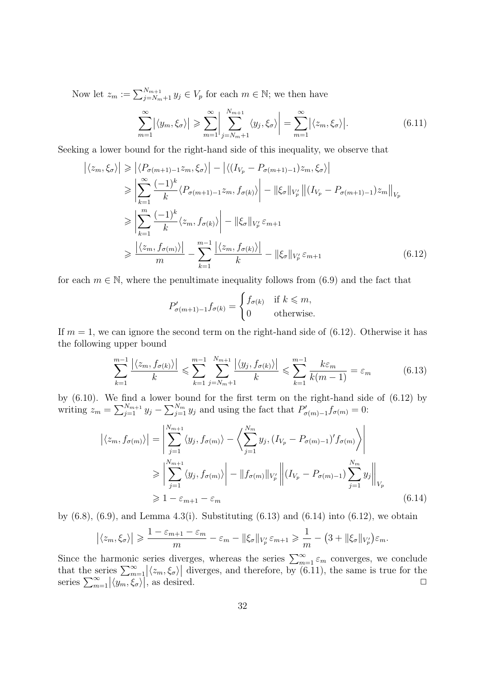Now let  $z_m := \sum_{j=N_m+1}^{N_{m+1}} y_j \in V_p$  for each  $m \in \mathbb{N}$ ; we then have

$$
\sum_{m=1}^{\infty} |\langle y_m, \xi_{\sigma} \rangle| \geqslant \sum_{m=1}^{\infty} \left| \sum_{j=N_m+1}^{N_{m+1}} \langle y_j, \xi_{\sigma} \rangle \right| = \sum_{m=1}^{\infty} |\langle z_m, \xi_{\sigma} \rangle|.
$$
 (6.11)

Seeking a lower bound for the right-hand side of this inequality, we observe that

$$
\left| \langle z_m, \xi_{\sigma} \rangle \right| \geq \left| \langle P_{\sigma(m+1)-1} z_m, \xi_{\sigma} \rangle \right| - \left| \langle (I_{V_p} - P_{\sigma(m+1)-1}) z_m, \xi_{\sigma} \rangle \right|
$$
  
\n
$$
\geq \left| \sum_{k=1}^{\infty} \frac{(-1)^k}{k} \langle P_{\sigma(m+1)-1} z_m, f_{\sigma(k)} \rangle \right| - \left| \left| \xi_{\sigma} \right| \right|_{V'_p} \left| \left( I_{V_p} - P_{\sigma(m+1)-1} \right) z_m \right|_{V_p}
$$
  
\n
$$
\geq \left| \sum_{k=1}^m \frac{(-1)^k}{k} \langle z_m, f_{\sigma(k)} \rangle \right| - \left| \left| \xi_{\sigma} \right| \right|_{V'_p} \varepsilon_{m+1}
$$
  
\n
$$
\geq \frac{\left| \langle z_m, f_{\sigma(m)} \rangle \right|}{m} - \sum_{k=1}^{m-1} \frac{\left| \langle z_m, f_{\sigma(k)} \rangle \right|}{k} - \left| \left| \xi_{\sigma} \right| \right|_{V'_p} \varepsilon_{m+1}
$$
(6.12)

for each  $m \in \mathbb{N}$ , where the penultimate inequality follows from (6.9) and the fact that

$$
P'_{\sigma(m+1)-1}f_{\sigma(k)} = \begin{cases} f_{\sigma(k)} & \text{if } k \leq m, \\ 0 & \text{otherwise.} \end{cases}
$$

If  $m = 1$ , we can ignore the second term on the right-hand side of (6.12). Otherwise it has the following upper bound

$$
\sum_{k=1}^{m-1} \frac{|\langle z_m, f_{\sigma(k)} \rangle|}{k} \leqslant \sum_{k=1}^{m-1} \sum_{j=N_m+1}^{N_{m+1}} \frac{|\langle y_j, f_{\sigma(k)} \rangle|}{k} \leqslant \sum_{k=1}^{m-1} \frac{k \varepsilon_m}{k(m-1)} = \varepsilon_m \tag{6.13}
$$

by (6.10). We find a lower bound for the first term on the right-hand side of (6.12) by writing  $z_m = \sum_{j=1}^{N_{m+1}} y_j - \sum_{j=1}^{N_m} y_j$  and using the fact that  $P'_{\sigma(m)-1} f_{\sigma(m)} = 0$ :

$$
\left| \langle z_m, f_{\sigma(m)} \rangle \right| = \left| \sum_{j=1}^{N_{m+1}} \langle y_j, f_{\sigma(m)} \rangle - \left\langle \sum_{j=1}^{N_m} y_j, (I_{V_p} - P_{\sigma(m)-1})' f_{\sigma(m)} \rangle \right|
$$
  
\n
$$
\geq \left| \sum_{j=1}^{N_{m+1}} \langle y_j, f_{\sigma(m)} \rangle \right| - \|f_{\sigma(m)}\|_{V'_p} \left\| (I_{V_p} - P_{\sigma(m)-1}) \sum_{j=1}^{N_m} y_j \right\|_{V_p}
$$
  
\n
$$
\geq 1 - \varepsilon_{m+1} - \varepsilon_m
$$
\n(6.14)

by  $(6.8)$ ,  $(6.9)$ , and Lemma 4.3(i). Substituting  $(6.13)$  and  $(6.14)$  into  $(6.12)$ , we obtain

$$
\left|\langle z_m,\xi_\sigma\rangle\right| \geqslant \frac{1-\varepsilon_{m+1}-\varepsilon_m}{m}-\varepsilon_m-\|\xi_\sigma\|_{V_p'}\,\varepsilon_{m+1}\geqslant \frac{1}{m}-\big(3+\|\xi_\sigma\|_{V_p'}\big)\varepsilon_m.
$$

Since the harmonic series diverges, whereas the series  $\sum_{m=1}^{\infty} \varepsilon_m$  converges, we conclude that the series  $\sum_{m=1}^{\infty} |\langle z_m, \xi_\sigma \rangle|$  diverges, and therefore, by (6.11), the same is true for the series  $\sum_{m=1}^{\infty} |\langle y_m, \xi_\sigma \rangle|$ , as desired.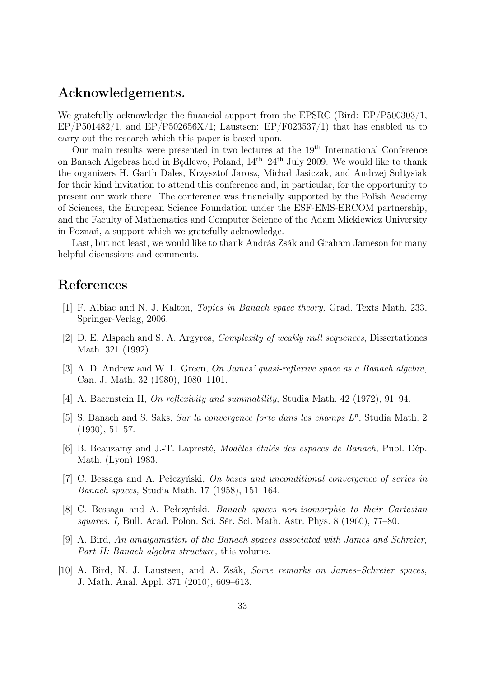### Acknowledgements.

We gratefully acknowledge the financial support from the EPSRC (Bird: EP/P500303/1,  $EP/P501482/1$ , and  $EP/P502656X/1$ ; Laustsen:  $EP/F023537/1$ ) that has enabled us to carry out the research which this paper is based upon.

Our main results were presented in two lectures at the 19th International Conference on Banach Algebras held in Będlewo, Poland,  $14<sup>th</sup>-24<sup>th</sup>$  July 2009. We would like to thank the organizers H. Garth Dales, Krzysztof Jarosz, Michał Jasiczak, and Andrzej Sołtysiak for their kind invitation to attend this conference and, in particular, for the opportunity to present our work there. The conference was financially supported by the Polish Academy of Sciences, the European Science Foundation under the ESF-EMS-ERCOM partnership, and the Faculty of Mathematics and Computer Science of the Adam Mickiewicz University in Poznań, a support which we gratefully acknowledge.

Last, but not least, we would like to thank András Zsák and Graham Jameson for many helpful discussions and comments.

#### References

- [1] F. Albiac and N. J. Kalton, Topics in Banach space theory, Grad. Texts Math. 233, Springer-Verlag, 2006.
- [2] D. E. Alspach and S. A. Argyros, Complexity of weakly null sequences, Dissertationes Math. 321 (1992).
- [3] A. D. Andrew and W. L. Green, On James' quasi-reflexive space as a Banach algebra, Can. J. Math. 32 (1980), 1080–1101.
- [4] A. Baernstein II, On reflexivity and summability, Studia Math. 42 (1972), 91–94.
- [5] S. Banach and S. Saks, Sur la convergence forte dans les champs  $L^p$ , Studia Math. 2 (1930), 51–57.
- [6] B. Beauzamy and J.-T. Lapresté, Modèles étalés des espaces de Banach, Publ. Dép. Math. (Lyon) 1983.
- [7] C. Bessaga and A. Pełczyński, On bases and unconditional convergence of series in Banach spaces, Studia Math. 17 (1958), 151–164.
- [8] C. Bessaga and A. Pełczyński, Banach spaces non-isomorphic to their Cartesian squares. I, Bull. Acad. Polon. Sci. Sér. Sci. Math. Astr. Phys. 8 (1960), 77–80.
- [9] A. Bird, An amalgamation of the Banach spaces associated with James and Schreier, Part II: Banach-algebra structure, this volume.
- [10] A. Bird, N. J. Laustsen, and A. Zsák, Some remarks on James–Schreier spaces, J. Math. Anal. Appl. 371 (2010), 609–613.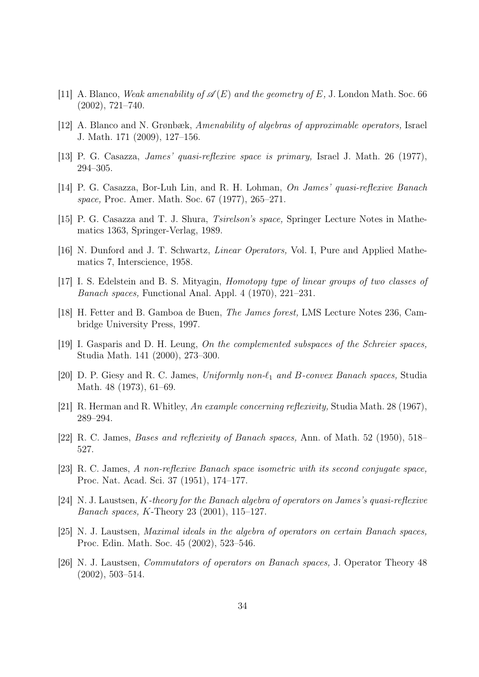- [11] A. Blanco, Weak amenability of  $\mathscr{A}(E)$  and the geometry of E, J. London Math. Soc. 66 (2002), 721–740.
- [12] A. Blanco and N. Grønbæk, Amenability of algebras of approximable operators, Israel J. Math. 171 (2009), 127–156.
- [13] P. G. Casazza, James' quasi-reflexive space is primary, Israel J. Math. 26 (1977), 294–305.
- [14] P. G. Casazza, Bor-Luh Lin, and R. H. Lohman, On James' quasi-reflexive Banach space, Proc. Amer. Math. Soc. 67 (1977), 265–271.
- [15] P. G. Casazza and T. J. Shura, Tsirelson's space, Springer Lecture Notes in Mathematics 1363, Springer-Verlag, 1989.
- [16] N. Dunford and J. T. Schwartz, Linear Operators, Vol. I, Pure and Applied Mathematics 7, Interscience, 1958.
- [17] I. S. Edelstein and B. S. Mityagin, Homotopy type of linear groups of two classes of Banach spaces, Functional Anal. Appl. 4 (1970), 221–231.
- [18] H. Fetter and B. Gamboa de Buen, The James forest, LMS Lecture Notes 236, Cambridge University Press, 1997.
- [19] I. Gasparis and D. H. Leung, On the complemented subspaces of the Schreier spaces, Studia Math. 141 (2000), 273–300.
- [20] D. P. Giesy and R. C. James, Uniformly non- $\ell_1$  and B-convex Banach spaces, Studia Math. 48 (1973), 61–69.
- [21] R. Herman and R. Whitley, An example concerning reflexivity, Studia Math. 28 (1967), 289–294.
- [22] R. C. James, Bases and reflexivity of Banach spaces, Ann. of Math. 52 (1950), 518– 527.
- [23] R. C. James, A non-reflexive Banach space isometric with its second conjugate space, Proc. Nat. Acad. Sci. 37 (1951), 174–177.
- [24] N. J. Laustsen, K-theory for the Banach algebra of operators on James's quasi-reflexive Banach spaces, K-Theory 23 (2001), 115–127.
- [25] N. J. Laustsen, Maximal ideals in the algebra of operators on certain Banach spaces, Proc. Edin. Math. Soc. 45 (2002), 523–546.
- [26] N. J. Laustsen, Commutators of operators on Banach spaces, J. Operator Theory 48 (2002), 503–514.